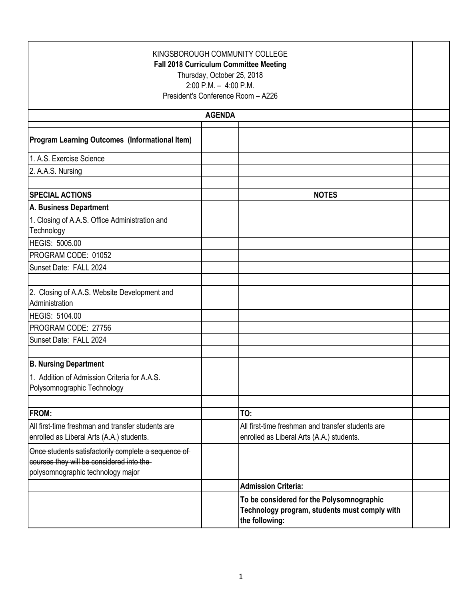| KINGSBOROUGH COMMUNITY COLLEGE<br><b>Fall 2018 Curriculum Committee Meeting</b><br>Thursday, October 25, 2018<br>$2:00$ P.M. $-4:00$ P.M.<br>President's Conference Room - A226 |                                                                                                              |  |  |
|---------------------------------------------------------------------------------------------------------------------------------------------------------------------------------|--------------------------------------------------------------------------------------------------------------|--|--|
|                                                                                                                                                                                 | <b>AGENDA</b>                                                                                                |  |  |
| Program Learning Outcomes (Informational Item)                                                                                                                                  |                                                                                                              |  |  |
| 1. A.S. Exercise Science                                                                                                                                                        |                                                                                                              |  |  |
| 2. A.A.S. Nursing                                                                                                                                                               |                                                                                                              |  |  |
|                                                                                                                                                                                 |                                                                                                              |  |  |
| <b>SPECIAL ACTIONS</b>                                                                                                                                                          | <b>NOTES</b>                                                                                                 |  |  |
| A. Business Department                                                                                                                                                          |                                                                                                              |  |  |
| 1. Closing of A.A.S. Office Administration and<br>Technology                                                                                                                    |                                                                                                              |  |  |
| <b>HEGIS: 5005.00</b>                                                                                                                                                           |                                                                                                              |  |  |
| PROGRAM CODE: 01052                                                                                                                                                             |                                                                                                              |  |  |
| Sunset Date: FALL 2024                                                                                                                                                          |                                                                                                              |  |  |
| 2. Closing of A.A.S. Website Development and<br>Administration                                                                                                                  |                                                                                                              |  |  |
| <b>HEGIS: 5104.00</b>                                                                                                                                                           |                                                                                                              |  |  |
| PROGRAM CODE: 27756                                                                                                                                                             |                                                                                                              |  |  |
| Sunset Date: FALL 2024                                                                                                                                                          |                                                                                                              |  |  |
| <b>B. Nursing Department</b>                                                                                                                                                    |                                                                                                              |  |  |
| 1. Addition of Admission Criteria for A.A.S.<br>Polysomnographic Technology                                                                                                     |                                                                                                              |  |  |
| <b>FROM:</b>                                                                                                                                                                    | TO:                                                                                                          |  |  |
| All first-time freshman and transfer students are<br>enrolled as Liberal Arts (A.A.) students.                                                                                  | All first-time freshman and transfer students are<br>enrolled as Liberal Arts (A.A.) students.               |  |  |
| Once students satisfactorily complete a sequence of<br>courses they will be considered into the-<br>polysomnographic technology major                                           |                                                                                                              |  |  |
|                                                                                                                                                                                 | <b>Admission Criteria:</b>                                                                                   |  |  |
|                                                                                                                                                                                 | To be considered for the Polysomnographic<br>Technology program, students must comply with<br>the following: |  |  |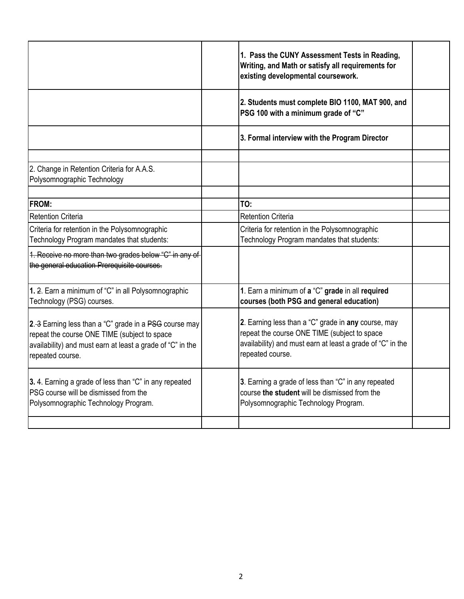|                                                                                                                                                                                          | 1. Pass the CUNY Assessment Tests in Reading,<br>Writing, and Math or satisfy all requirements for<br>existing developmental coursework.                                              |  |
|------------------------------------------------------------------------------------------------------------------------------------------------------------------------------------------|---------------------------------------------------------------------------------------------------------------------------------------------------------------------------------------|--|
|                                                                                                                                                                                          | 2. Students must complete BIO 1100, MAT 900, and<br>PSG 100 with a minimum grade of "C"                                                                                               |  |
|                                                                                                                                                                                          | 3. Formal interview with the Program Director                                                                                                                                         |  |
| 2. Change in Retention Criteria for A.A.S.<br>Polysomnographic Technology                                                                                                                |                                                                                                                                                                                       |  |
| <b>IFROM:</b>                                                                                                                                                                            | TO:                                                                                                                                                                                   |  |
| <b>Retention Criteria</b>                                                                                                                                                                | <b>Retention Criteria</b>                                                                                                                                                             |  |
| Criteria for retention in the Polysomnographic<br>Technology Program mandates that students:                                                                                             | Criteria for retention in the Polysomnographic<br>Technology Program mandates that students:                                                                                          |  |
| 1. Receive no more than two grades below "C" in any of<br>the general education Prerequisite courses.                                                                                    |                                                                                                                                                                                       |  |
| 1. 2. Earn a minimum of "C" in all Polysomnographic<br>Technology (PSG) courses.                                                                                                         | 1. Earn a minimum of a "C" grade in all required<br>courses (both PSG and general education)                                                                                          |  |
| 2.–3 Earning less than a "C" grade in a PSG course may<br>repeat the course ONE TIME (subject to space<br>availability) and must earn at least a grade of "C" in the<br>repeated course. | 2. Earning less than a "C" grade in any course, may<br>repeat the course ONE TIME (subject to space<br>availability) and must earn at least a grade of "C" in the<br>repeated course. |  |
| 3.4. Earning a grade of less than "C" in any repeated<br><b>IPSG</b> course will be dismissed from the<br>Polysomnographic Technology Program.                                           | 3. Earning a grade of less than "C" in any repeated<br>course the student will be dismissed from the<br>Polysomnographic Technology Program.                                          |  |
|                                                                                                                                                                                          |                                                                                                                                                                                       |  |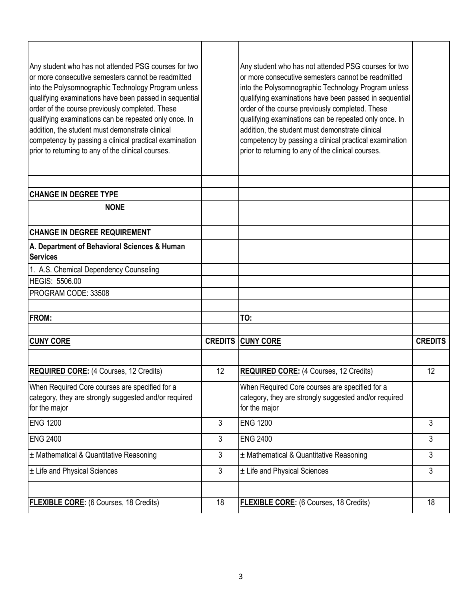| Any student who has not attended PSG courses for two<br>or more consecutive semesters cannot be readmitted<br>into the Polysomnographic Technology Program unless<br>qualifying examinations have been passed in sequential<br>order of the course previously completed. These<br>qualifying examinations can be repeated only once. In<br>addition, the student must demonstrate clinical<br>competency by passing a clinical practical examination<br>prior to returning to any of the clinical courses. |                | Any student who has not attended PSG courses for two<br>or more consecutive semesters cannot be readmitted<br>into the Polysomnographic Technology Program unless<br>qualifying examinations have been passed in sequential<br>order of the course previously completed. These<br>qualifying examinations can be repeated only once. In<br>addition, the student must demonstrate clinical<br>competency by passing a clinical practical examination<br>prior to returning to any of the clinical courses. |                |
|------------------------------------------------------------------------------------------------------------------------------------------------------------------------------------------------------------------------------------------------------------------------------------------------------------------------------------------------------------------------------------------------------------------------------------------------------------------------------------------------------------|----------------|------------------------------------------------------------------------------------------------------------------------------------------------------------------------------------------------------------------------------------------------------------------------------------------------------------------------------------------------------------------------------------------------------------------------------------------------------------------------------------------------------------|----------------|
| <b>CHANGE IN DEGREE TYPE</b>                                                                                                                                                                                                                                                                                                                                                                                                                                                                               |                |                                                                                                                                                                                                                                                                                                                                                                                                                                                                                                            |                |
| <b>NONE</b>                                                                                                                                                                                                                                                                                                                                                                                                                                                                                                |                |                                                                                                                                                                                                                                                                                                                                                                                                                                                                                                            |                |
|                                                                                                                                                                                                                                                                                                                                                                                                                                                                                                            |                |                                                                                                                                                                                                                                                                                                                                                                                                                                                                                                            |                |
| <b>CHANGE IN DEGREE REQUIREMENT</b>                                                                                                                                                                                                                                                                                                                                                                                                                                                                        |                |                                                                                                                                                                                                                                                                                                                                                                                                                                                                                                            |                |
| A. Department of Behavioral Sciences & Human<br><b>Services</b>                                                                                                                                                                                                                                                                                                                                                                                                                                            |                |                                                                                                                                                                                                                                                                                                                                                                                                                                                                                                            |                |
| 1. A.S. Chemical Dependency Counseling                                                                                                                                                                                                                                                                                                                                                                                                                                                                     |                |                                                                                                                                                                                                                                                                                                                                                                                                                                                                                                            |                |
| <b>HEGIS: 5506.00</b>                                                                                                                                                                                                                                                                                                                                                                                                                                                                                      |                |                                                                                                                                                                                                                                                                                                                                                                                                                                                                                                            |                |
| PROGRAM CODE: 33508                                                                                                                                                                                                                                                                                                                                                                                                                                                                                        |                |                                                                                                                                                                                                                                                                                                                                                                                                                                                                                                            |                |
|                                                                                                                                                                                                                                                                                                                                                                                                                                                                                                            |                |                                                                                                                                                                                                                                                                                                                                                                                                                                                                                                            |                |
| <b>FROM:</b>                                                                                                                                                                                                                                                                                                                                                                                                                                                                                               |                | TO:                                                                                                                                                                                                                                                                                                                                                                                                                                                                                                        |                |
| <b>CUNY CORE</b>                                                                                                                                                                                                                                                                                                                                                                                                                                                                                           |                | <b>CREDITS CUNY CORE</b>                                                                                                                                                                                                                                                                                                                                                                                                                                                                                   | <b>CREDITS</b> |
| <b>REQUIRED CORE: (4 Courses, 12 Credits)</b>                                                                                                                                                                                                                                                                                                                                                                                                                                                              | 12             | <b>REQUIRED CORE:</b> (4 Courses, 12 Credits)                                                                                                                                                                                                                                                                                                                                                                                                                                                              | 12             |
| When Required Core courses are specified for a<br>category, they are strongly suggested and/or required<br>for the major                                                                                                                                                                                                                                                                                                                                                                                   |                | When Required Core courses are specified for a<br>category, they are strongly suggested and/or required<br>for the major                                                                                                                                                                                                                                                                                                                                                                                   |                |
| <b>ENG 1200</b>                                                                                                                                                                                                                                                                                                                                                                                                                                                                                            | $\mathbf{3}$   | <b>ENG 1200</b>                                                                                                                                                                                                                                                                                                                                                                                                                                                                                            | 3              |
| <b>ENG 2400</b>                                                                                                                                                                                                                                                                                                                                                                                                                                                                                            | 3              | <b>ENG 2400</b>                                                                                                                                                                                                                                                                                                                                                                                                                                                                                            | 3              |
| $\pm$ Mathematical & Quantitative Reasoning                                                                                                                                                                                                                                                                                                                                                                                                                                                                | 3              | $±$ Mathematical & Quantitative Reasoning                                                                                                                                                                                                                                                                                                                                                                                                                                                                  | 3              |
| ± Life and Physical Sciences                                                                                                                                                                                                                                                                                                                                                                                                                                                                               | $\mathfrak{Z}$ | ± Life and Physical Sciences                                                                                                                                                                                                                                                                                                                                                                                                                                                                               | 3              |
| <b>FLEXIBLE CORE:</b> (6 Courses, 18 Credits)                                                                                                                                                                                                                                                                                                                                                                                                                                                              | 18             | <b>FLEXIBLE CORE:</b> (6 Courses, 18 Credits)                                                                                                                                                                                                                                                                                                                                                                                                                                                              | 18             |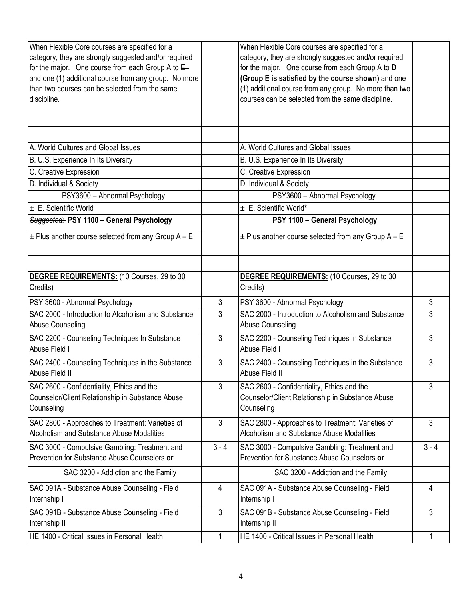| When Flexible Core courses are specified for a<br>category, they are strongly suggested and/or required<br>for the major. One course from each Group A to $E$<br>and one (1) additional course from any group. No more<br>than two courses can be selected from the same<br>discipline. |                | When Flexible Core courses are specified for a<br>category, they are strongly suggested and/or required<br>for the major. One course from each Group A to D<br>(Group E is satisfied by the course shown) and one<br>(1) additional course from any group. No more than two<br>courses can be selected from the same discipline. |                |
|-----------------------------------------------------------------------------------------------------------------------------------------------------------------------------------------------------------------------------------------------------------------------------------------|----------------|----------------------------------------------------------------------------------------------------------------------------------------------------------------------------------------------------------------------------------------------------------------------------------------------------------------------------------|----------------|
| A. World Cultures and Global Issues                                                                                                                                                                                                                                                     |                | A. World Cultures and Global Issues                                                                                                                                                                                                                                                                                              |                |
| B. U.S. Experience In Its Diversity                                                                                                                                                                                                                                                     |                | B. U.S. Experience In Its Diversity                                                                                                                                                                                                                                                                                              |                |
| C. Creative Expression                                                                                                                                                                                                                                                                  |                | C. Creative Expression                                                                                                                                                                                                                                                                                                           |                |
| D. Individual & Society                                                                                                                                                                                                                                                                 |                | D. Individual & Society                                                                                                                                                                                                                                                                                                          |                |
| PSY3600 - Abnormal Psychology                                                                                                                                                                                                                                                           |                | PSY3600 - Abnormal Psychology                                                                                                                                                                                                                                                                                                    |                |
| $\pm$ E. Scientific World                                                                                                                                                                                                                                                               |                | ± E. Scientific World*                                                                                                                                                                                                                                                                                                           |                |
| Suggested: PSY 1100 - General Psychology                                                                                                                                                                                                                                                |                | PSY 1100 - General Psychology                                                                                                                                                                                                                                                                                                    |                |
| $\pm$ Plus another course selected from any Group A - E                                                                                                                                                                                                                                 |                | $\pm$ Plus another course selected from any Group A - E                                                                                                                                                                                                                                                                          |                |
| DEGREE REQUIREMENTS: (10 Courses, 29 to 30<br>Credits)                                                                                                                                                                                                                                  |                | <b>DEGREE REQUIREMENTS:</b> (10 Courses, 29 to 30<br>Credits)                                                                                                                                                                                                                                                                    |                |
| PSY 3600 - Abnormal Psychology                                                                                                                                                                                                                                                          | $\mathfrak{Z}$ | PSY 3600 - Abnormal Psychology                                                                                                                                                                                                                                                                                                   | $\mathfrak{Z}$ |
| SAC 2000 - Introduction to Alcoholism and Substance<br>Abuse Counseling                                                                                                                                                                                                                 | $\mathbf{3}$   | SAC 2000 - Introduction to Alcoholism and Substance<br><b>Abuse Counseling</b>                                                                                                                                                                                                                                                   | 3              |
| SAC 2200 - Counseling Techniques In Substance<br>Abuse Field I                                                                                                                                                                                                                          | $\mathfrak{Z}$ | SAC 2200 - Counseling Techniques In Substance<br>Abuse Field I                                                                                                                                                                                                                                                                   | 3              |
| SAC 2400 - Counseling Techniques in the Substance<br>Abuse Field II                                                                                                                                                                                                                     | 3              | SAC 2400 - Counseling Techniques in the Substance<br>Abuse Field II                                                                                                                                                                                                                                                              | 3              |
| SAC 2600 - Confidentiality, Ethics and the<br>Counselor/Client Relationship in Substance Abuse<br>Counseling                                                                                                                                                                            | 3              | SAC 2600 - Confidentiality, Ethics and the<br>Counselor/Client Relationship in Substance Abuse<br>Counseling                                                                                                                                                                                                                     | 3              |
| SAC 2800 - Approaches to Treatment: Varieties of<br>Alcoholism and Substance Abuse Modalities                                                                                                                                                                                           | $\mathbf{3}$   | SAC 2800 - Approaches to Treatment: Varieties of<br>Alcoholism and Substance Abuse Modalities                                                                                                                                                                                                                                    | $\mathfrak{Z}$ |
| SAC 3000 - Compulsive Gambling: Treatment and<br>Prevention for Substance Abuse Counselors or                                                                                                                                                                                           | $3 - 4$        | SAC 3000 - Compulsive Gambling: Treatment and<br>Prevention for Substance Abuse Counselors or                                                                                                                                                                                                                                    | $3 - 4$        |
| SAC 3200 - Addiction and the Family                                                                                                                                                                                                                                                     |                | SAC 3200 - Addiction and the Family                                                                                                                                                                                                                                                                                              |                |
| SAC 091A - Substance Abuse Counseling - Field<br>Internship I                                                                                                                                                                                                                           | 4              | SAC 091A - Substance Abuse Counseling - Field<br>Internship I                                                                                                                                                                                                                                                                    | 4              |
| SAC 091B - Substance Abuse Counseling - Field<br>Internship II                                                                                                                                                                                                                          | $\mathfrak{Z}$ | SAC 091B - Substance Abuse Counseling - Field<br>Internship II                                                                                                                                                                                                                                                                   | 3              |
| HE 1400 - Critical Issues in Personal Health                                                                                                                                                                                                                                            | 1              | HE 1400 - Critical Issues in Personal Health                                                                                                                                                                                                                                                                                     |                |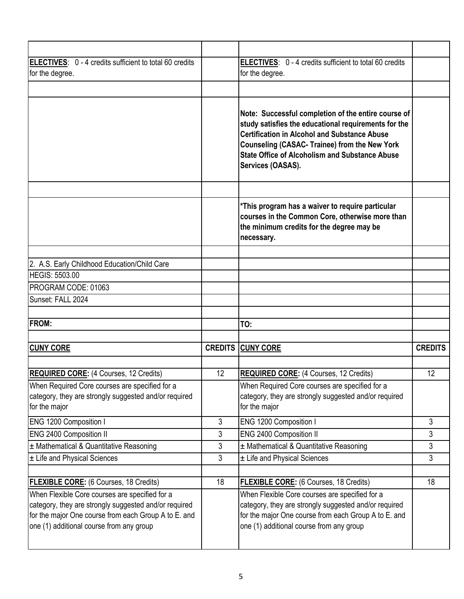| ELECTIVES: 0 - 4 credits sufficient to total 60 credits<br>for the degree.                                               |    | ELECTIVES: 0 - 4 credits sufficient to total 60 credits<br>for the degree.                                                                                                                                                                                                                               |                |
|--------------------------------------------------------------------------------------------------------------------------|----|----------------------------------------------------------------------------------------------------------------------------------------------------------------------------------------------------------------------------------------------------------------------------------------------------------|----------------|
|                                                                                                                          |    |                                                                                                                                                                                                                                                                                                          |                |
|                                                                                                                          |    | Note: Successful completion of the entire course of<br>study satisfies the educational requirements for the<br><b>Certification in Alcohol and Substance Abuse</b><br><b>Counseling (CASAC- Trainee) from the New York</b><br><b>State Office of Alcoholism and Substance Abuse</b><br>Services (OASAS). |                |
|                                                                                                                          |    | *This program has a waiver to require particular                                                                                                                                                                                                                                                         |                |
|                                                                                                                          |    | courses in the Common Core, otherwise more than<br>the minimum credits for the degree may be<br>necessary.                                                                                                                                                                                               |                |
|                                                                                                                          |    |                                                                                                                                                                                                                                                                                                          |                |
| 2. A.S. Early Childhood Education/Child Care                                                                             |    |                                                                                                                                                                                                                                                                                                          |                |
| <b>HEGIS: 5503.00</b>                                                                                                    |    |                                                                                                                                                                                                                                                                                                          |                |
| PROGRAM CODE: 01063                                                                                                      |    |                                                                                                                                                                                                                                                                                                          |                |
| Sunset: FALL 2024                                                                                                        |    |                                                                                                                                                                                                                                                                                                          |                |
|                                                                                                                          |    |                                                                                                                                                                                                                                                                                                          |                |
| <b>FROM:</b>                                                                                                             |    | TO:                                                                                                                                                                                                                                                                                                      |                |
|                                                                                                                          |    |                                                                                                                                                                                                                                                                                                          |                |
| <b>CUNY CORE</b>                                                                                                         |    | <b>CREDITS CUNY CORE</b>                                                                                                                                                                                                                                                                                 | <b>CREDITS</b> |
|                                                                                                                          |    |                                                                                                                                                                                                                                                                                                          |                |
| <b>REQUIRED CORE:</b> (4 Courses, 12 Credits)                                                                            | 12 | <b>REQUIRED CORE:</b> (4 Courses, 12 Credits)                                                                                                                                                                                                                                                            | 12             |
| When Required Core courses are specified for a<br>category, they are strongly suggested and/or required<br>for the major |    | When Required Core courses are specified for a<br>category, they are strongly suggested and/or required<br>for the major                                                                                                                                                                                 |                |
| ENG 1200 Composition I                                                                                                   | 3  | ENG 1200 Composition I                                                                                                                                                                                                                                                                                   | 3              |
| ENG 2400 Composition II                                                                                                  | 3  | <b>ENG 2400 Composition II</b>                                                                                                                                                                                                                                                                           | 3              |
| ± Mathematical & Quantitative Reasoning                                                                                  | 3  | $±$ Mathematical & Quantitative Reasoning                                                                                                                                                                                                                                                                | 3              |
| ± Life and Physical Sciences                                                                                             | 3  | ± Life and Physical Sciences                                                                                                                                                                                                                                                                             | $\mathbf{3}$   |
| <b>FLEXIBLE CORE:</b> (6 Courses, 18 Credits)                                                                            | 18 | <b>FLEXIBLE CORE:</b> (6 Courses, 18 Credits)                                                                                                                                                                                                                                                            | 18             |
| When Flexible Core courses are specified for a                                                                           |    | When Flexible Core courses are specified for a                                                                                                                                                                                                                                                           |                |
| category, they are strongly suggested and/or required                                                                    |    | category, they are strongly suggested and/or required                                                                                                                                                                                                                                                    |                |
| for the major One course from each Group A to E. and                                                                     |    | for the major One course from each Group A to E. and                                                                                                                                                                                                                                                     |                |
| one (1) additional course from any group                                                                                 |    | one (1) additional course from any group                                                                                                                                                                                                                                                                 |                |
|                                                                                                                          |    |                                                                                                                                                                                                                                                                                                          |                |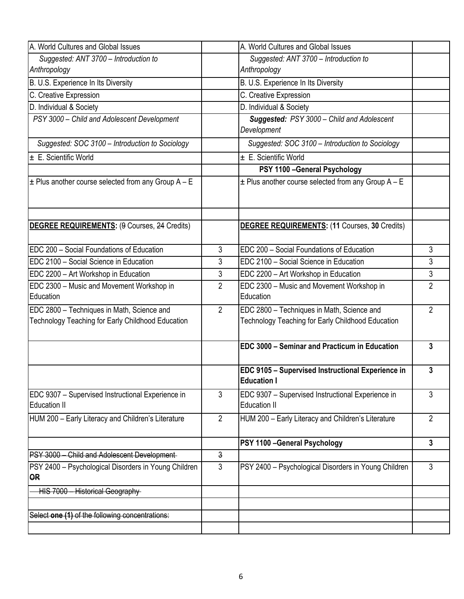| A. World Cultures and Global Issues                                                             |                | A. World Cultures and Global Issues                                                             |                |
|-------------------------------------------------------------------------------------------------|----------------|-------------------------------------------------------------------------------------------------|----------------|
| Suggested: ANT 3700 - Introduction to                                                           |                | Suggested: ANT 3700 - Introduction to                                                           |                |
| Anthropology                                                                                    |                | Anthropology                                                                                    |                |
| B. U.S. Experience In Its Diversity                                                             |                | B. U.S. Experience In Its Diversity                                                             |                |
| C. Creative Expression                                                                          |                | C. Creative Expression                                                                          |                |
| D. Individual & Society                                                                         |                | D. Individual & Society                                                                         |                |
| PSY 3000 - Child and Adolescent Development                                                     |                | Suggested: PSY 3000 - Child and Adolescent<br>Development                                       |                |
| Suggested: SOC 3100 - Introduction to Sociology                                                 |                | Suggested: SOC 3100 - Introduction to Sociology                                                 |                |
| ± E. Scientific World                                                                           |                | $\pm$ E. Scientific World                                                                       |                |
|                                                                                                 |                | PSY 1100 - General Psychology                                                                   |                |
| $\pm$ Plus another course selected from any Group A – E                                         |                | $\pm$ Plus another course selected from any Group A - E                                         |                |
|                                                                                                 |                |                                                                                                 |                |
| <b>DEGREE REQUIREMENTS: (9 Courses, 24 Credits)</b>                                             |                | <b>DEGREE REQUIREMENTS: (11 Courses, 30 Credits)</b>                                            |                |
| EDC 200 - Social Foundations of Education                                                       | 3              | EDC 200 - Social Foundations of Education                                                       | 3              |
| EDC 2100 - Social Science in Education                                                          | 3              | EDC 2100 - Social Science in Education                                                          | 3              |
| EDC 2200 - Art Workshop in Education                                                            | 3              | EDC 2200 - Art Workshop in Education                                                            | 3              |
| EDC 2300 - Music and Movement Workshop in<br>Education                                          | $\overline{2}$ | EDC 2300 - Music and Movement Workshop in<br>Education                                          | $\overline{2}$ |
| EDC 2800 - Techniques in Math, Science and<br>Technology Teaching for Early Childhood Education | $\overline{2}$ | EDC 2800 - Techniques in Math, Science and<br>Technology Teaching for Early Childhood Education | $\overline{2}$ |
|                                                                                                 |                | EDC 3000 - Seminar and Practicum in Education                                                   | 3              |
|                                                                                                 |                | EDC 9105 - Supervised Instructional Experience in<br><b>Education I</b>                         | 3              |
| EDC 9307 - Supervised Instructional Experience in<br>Education II                               | 3              | EDC 9307 - Supervised Instructional Experience in<br><b>Education II</b>                        | 3              |
| HUM 200 - Early Literacy and Children's Literature                                              | $\overline{2}$ | HUM 200 - Early Literacy and Children's Literature                                              | $\overline{2}$ |
|                                                                                                 |                | PSY 1100 - General Psychology                                                                   | $\mathbf{3}$   |
| PSY 3000 - Child and Adolescent Development-                                                    | $\mathfrak z$  |                                                                                                 |                |
| PSY 2400 - Psychological Disorders in Young Children<br><b>OR</b>                               | $\mathfrak{Z}$ | PSY 2400 - Psychological Disorders in Young Children                                            | $\mathfrak{Z}$ |
| HIS 7000 - Historical Geography                                                                 |                |                                                                                                 |                |
|                                                                                                 |                |                                                                                                 |                |
| Select one (1) of the following concentrations:                                                 |                |                                                                                                 |                |
|                                                                                                 |                |                                                                                                 |                |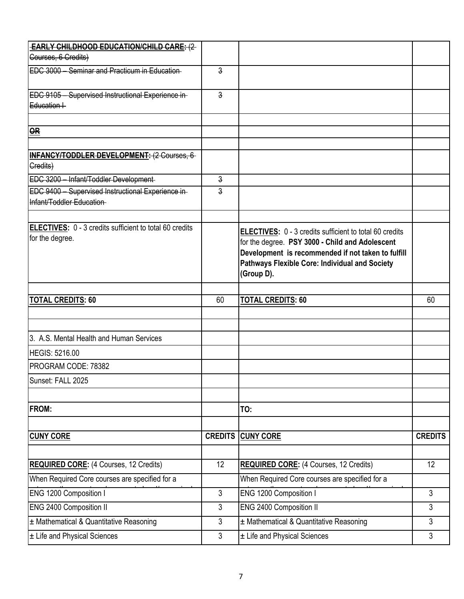| <b>EARLY CHILDHOOD EDUCATION/CHILD CARE: (2-</b>                                  |                |                                                                                                                                                                                                                                  |                |
|-----------------------------------------------------------------------------------|----------------|----------------------------------------------------------------------------------------------------------------------------------------------------------------------------------------------------------------------------------|----------------|
| Courses, 6 Credits)                                                               |                |                                                                                                                                                                                                                                  |                |
| EDC 3000 - Seminar and Practicum in Education-                                    | 3              |                                                                                                                                                                                                                                  |                |
| EDC 9105 - Supervised Instructional Experience in-                                | $\overline{3}$ |                                                                                                                                                                                                                                  |                |
| $Eduction+$                                                                       |                |                                                                                                                                                                                                                                  |                |
|                                                                                   |                |                                                                                                                                                                                                                                  |                |
| OR                                                                                |                |                                                                                                                                                                                                                                  |                |
| <b>INFANCY/TODDLER DEVELOPMENT: (2 Courses, 6-</b><br>Gredits)                    |                |                                                                                                                                                                                                                                  |                |
| EDC 3200 - Infant/Toddler Development-                                            | $\overline{3}$ |                                                                                                                                                                                                                                  |                |
| EDC 9400 - Supervised Instructional Experience in-<br>Infant/Toddler Education-   | 3              |                                                                                                                                                                                                                                  |                |
|                                                                                   |                |                                                                                                                                                                                                                                  |                |
| <b>ELECTIVES:</b> 0 - 3 credits sufficient to total 60 credits<br>for the degree. |                | ELECTIVES: 0 - 3 credits sufficient to total 60 credits<br>for the degree. PSY 3000 - Child and Adolescent<br>Development is recommended if not taken to fulfill<br>Pathways Flexible Core: Individual and Society<br>(Group D). |                |
|                                                                                   |                |                                                                                                                                                                                                                                  |                |
| <b>TOTAL CREDITS: 60</b>                                                          | 60             | <b>TOTAL CREDITS: 60</b>                                                                                                                                                                                                         | 60             |
|                                                                                   |                |                                                                                                                                                                                                                                  |                |
| 3. A.S. Mental Health and Human Services                                          |                |                                                                                                                                                                                                                                  |                |
| <b>HEGIS: 5216.00</b>                                                             |                |                                                                                                                                                                                                                                  |                |
| PROGRAM CODE: 78382                                                               |                |                                                                                                                                                                                                                                  |                |
| Sunset: FALL 2025                                                                 |                |                                                                                                                                                                                                                                  |                |
|                                                                                   |                |                                                                                                                                                                                                                                  |                |
| FROM:                                                                             |                | TO:                                                                                                                                                                                                                              |                |
|                                                                                   |                |                                                                                                                                                                                                                                  |                |
| <b>CUNY CORE</b>                                                                  | <b>CREDITS</b> | <b>CUNY CORE</b>                                                                                                                                                                                                                 | <b>CREDITS</b> |
|                                                                                   |                |                                                                                                                                                                                                                                  |                |
| <b>REQUIRED CORE:</b> (4 Courses, 12 Credits)                                     | 12             | <b>REQUIRED CORE:</b> (4 Courses, 12 Credits)                                                                                                                                                                                    | 12             |
| When Required Core courses are specified for a                                    |                | When Required Core courses are specified for a                                                                                                                                                                                   |                |
| ENG 1200 Composition I                                                            | 3              | ENG 1200 Composition I                                                                                                                                                                                                           | 3              |
| <b>ENG 2400 Composition II</b>                                                    | 3              | ENG 2400 Composition II                                                                                                                                                                                                          | 3              |
| ± Mathematical & Quantitative Reasoning                                           | 3              | ± Mathematical & Quantitative Reasoning                                                                                                                                                                                          | 3              |
| ± Life and Physical Sciences                                                      | 3              | ± Life and Physical Sciences                                                                                                                                                                                                     | 3              |
|                                                                                   |                |                                                                                                                                                                                                                                  |                |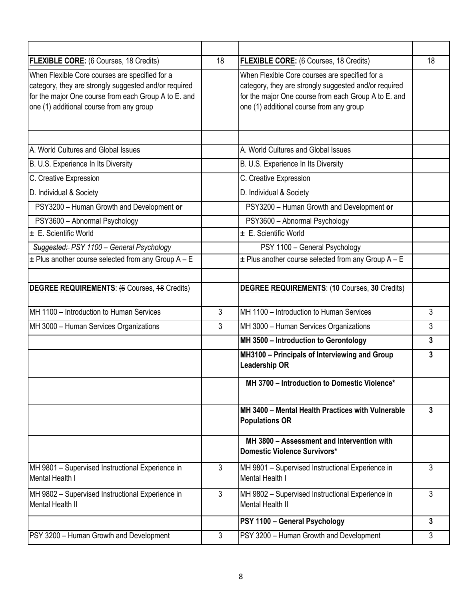| <b>FLEXIBLE CORE:</b> (6 Courses, 18 Credits)                                                                                                                                                               | 18           | <b>FLEXIBLE CORE:</b> (6 Courses, 18 Credits)                                                                                                                                                               | 18           |
|-------------------------------------------------------------------------------------------------------------------------------------------------------------------------------------------------------------|--------------|-------------------------------------------------------------------------------------------------------------------------------------------------------------------------------------------------------------|--------------|
| When Flexible Core courses are specified for a<br>category, they are strongly suggested and/or required<br>for the major One course from each Group A to E. and<br>one (1) additional course from any group |              | When Flexible Core courses are specified for a<br>category, they are strongly suggested and/or required<br>for the major One course from each Group A to E. and<br>one (1) additional course from any group |              |
| A. World Cultures and Global Issues                                                                                                                                                                         |              | A. World Cultures and Global Issues                                                                                                                                                                         |              |
| B. U.S. Experience In Its Diversity                                                                                                                                                                         |              | B. U.S. Experience In Its Diversity                                                                                                                                                                         |              |
| C. Creative Expression                                                                                                                                                                                      |              | C. Creative Expression                                                                                                                                                                                      |              |
| D. Individual & Society                                                                                                                                                                                     |              | D. Individual & Society                                                                                                                                                                                     |              |
| PSY3200 - Human Growth and Development or                                                                                                                                                                   |              | PSY3200 - Human Growth and Development or                                                                                                                                                                   |              |
| PSY3600 - Abnormal Psychology                                                                                                                                                                               |              | PSY3600 - Abnormal Psychology                                                                                                                                                                               |              |
| $\pm$ E. Scientific World                                                                                                                                                                                   |              | ± E. Scientific World                                                                                                                                                                                       |              |
| Suggested: PSY 1100 - General Psychology                                                                                                                                                                    |              | PSY 1100 - General Psychology                                                                                                                                                                               |              |
| $\pm$ Plus another course selected from any Group A - E                                                                                                                                                     |              | $\pm$ Plus another course selected from any Group A - E                                                                                                                                                     |              |
| <b>DEGREE REQUIREMENTS: (6 Courses, 48 Credits)</b>                                                                                                                                                         |              | <b>DEGREE REQUIREMENTS: (10 Courses, 30 Credits)</b>                                                                                                                                                        |              |
| IMH 1100 - Introduction to Human Services                                                                                                                                                                   | $\mathbf{3}$ | MH 1100 - Introduction to Human Services                                                                                                                                                                    | 3            |
| MH 3000 - Human Services Organizations                                                                                                                                                                      | 3            | MH 3000 - Human Services Organizations                                                                                                                                                                      | 3            |
|                                                                                                                                                                                                             |              | MH 3500 - Introduction to Gerontology                                                                                                                                                                       | 3            |
|                                                                                                                                                                                                             |              | MH3100 - Principals of Interviewing and Group<br><b>Leadership OR</b>                                                                                                                                       | 3            |
|                                                                                                                                                                                                             |              | MH 3700 - Introduction to Domestic Violence*                                                                                                                                                                |              |
|                                                                                                                                                                                                             |              | MH 3400 - Mental Health Practices with Vulnerable<br><b>Populations OR</b>                                                                                                                                  | 3            |
|                                                                                                                                                                                                             |              | MH 3800 - Assessment and Intervention with<br><b>Domestic Violence Survivors*</b>                                                                                                                           |              |
| MH 9801 - Supervised Instructional Experience in<br>Mental Health I                                                                                                                                         | 3            | MH 9801 - Supervised Instructional Experience in<br>Mental Health I                                                                                                                                         | 3            |
| MH 9802 - Supervised Instructional Experience in<br>Mental Health II                                                                                                                                        | $\mathbf{3}$ | MH 9802 - Supervised Instructional Experience in<br><b>Mental Health II</b>                                                                                                                                 | 3            |
|                                                                                                                                                                                                             |              | PSY 1100 - General Psychology                                                                                                                                                                               | $\mathbf{3}$ |
| PSY 3200 - Human Growth and Development                                                                                                                                                                     | 3            | PSY 3200 - Human Growth and Development                                                                                                                                                                     | 3            |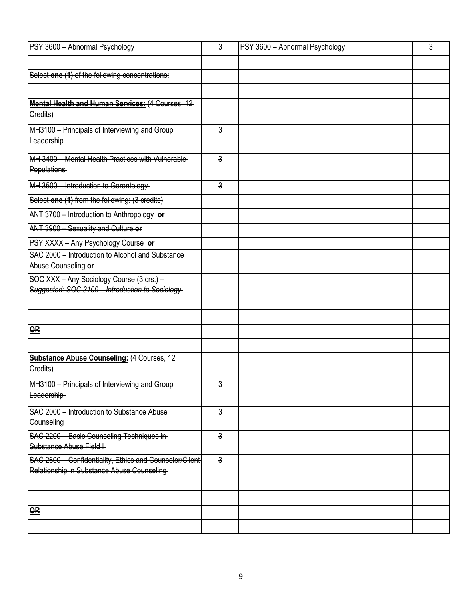| PSY 3600 - Abnormal Psychology                                          | 3              | PSY 3600 - Abnormal Psychology | 3 |
|-------------------------------------------------------------------------|----------------|--------------------------------|---|
|                                                                         |                |                                |   |
| Select one (1) of the following concentrations:                         |                |                                |   |
|                                                                         |                |                                |   |
| Mental Health and Human Services: (4 Courses, 12                        |                |                                |   |
| Gredits)                                                                |                |                                |   |
| MH3100 - Principals of Interviewing and Group-                          | 3              |                                |   |
| Leadership-                                                             |                |                                |   |
| MH 3400 - Mental Health Practices with Vulnerable-                      | $\overline{3}$ |                                |   |
| Populations                                                             |                |                                |   |
| MH 3500 - Introduction to Gerontology                                   | $\overline{3}$ |                                |   |
| Select one (1) from the following: (3 credits)                          |                |                                |   |
| ANT 3700 - Introduction to Anthropology or                              |                |                                |   |
| ANT 3900 - Sexuality and Culture or                                     |                |                                |   |
| PSY XXXX - Any Psychology Course or                                     |                |                                |   |
| SAC 2000 - Introduction to Alcohol and Substance<br>Abuse Counseling or |                |                                |   |
| SOC XXX - Any Sociology Course (3 crs.) -                               |                |                                |   |
| Suggested: SOC 3100 - Introduction to Sociology                         |                |                                |   |
|                                                                         |                |                                |   |
|                                                                         |                |                                |   |
| $\overline{OR}$                                                         |                |                                |   |
|                                                                         |                |                                |   |
| <b>Substance Abuse Counseling: (4 Courses, 12-</b><br>Gredits)          |                |                                |   |
| MH3100 - Principals of Interviewing and Group-                          | 3              |                                |   |
| Leadership-                                                             |                |                                |   |
| SAC 2000 - Introduction to Substance Abuse                              | $\overline{3}$ |                                |   |
| Counseling                                                              |                |                                |   |
| SAC 2200 - Basic Counseling Techniques in-<br>Substance Abuse Field I   | $\mathsf{a}$   |                                |   |
| SAC 2600 - Confidentiality, Ethics and Counselor/Client                 | $\overline{3}$ |                                |   |
| Relationship in Substance Abuse Counseling                              |                |                                |   |
|                                                                         |                |                                |   |
|                                                                         |                |                                |   |
| $\overline{\mathbf{R}}$                                                 |                |                                |   |
|                                                                         |                |                                |   |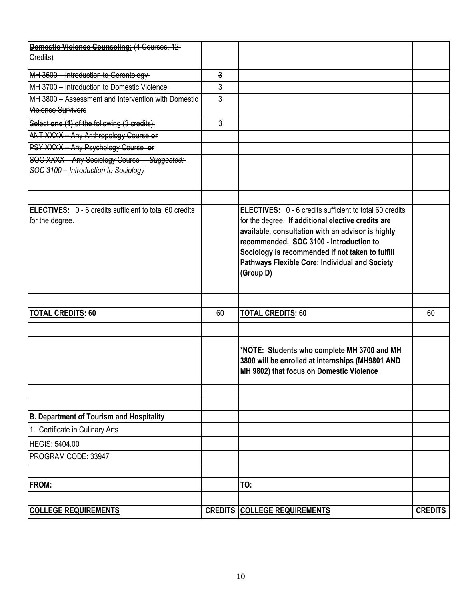| <b>Domestic Violence Counseling: (4 Courses, 12-</b>                       |                |                                                                                                               |                |
|----------------------------------------------------------------------------|----------------|---------------------------------------------------------------------------------------------------------------|----------------|
| Gredits)                                                                   |                |                                                                                                               |                |
| MH 3500 - Introduction to Gerontology-                                     | 3              |                                                                                                               |                |
| MH 3700 - Introduction to Domestic Violence                                | 3              |                                                                                                               |                |
| MH 3800 - Assessment and Intervention with Domestic                        | $\overline{3}$ |                                                                                                               |                |
| <b>Violence Survivors</b>                                                  |                |                                                                                                               |                |
| Select one (1) of the following (3 credits):                               | 3              |                                                                                                               |                |
| ANT XXXX - Any Anthropology Course or                                      |                |                                                                                                               |                |
| PSY XXXX - Any Psychology Course or                                        |                |                                                                                                               |                |
| SOC XXXX - Any Sociology Course - Suggested:                               |                |                                                                                                               |                |
| SOC 3100 - Introduction to Sociology                                       |                |                                                                                                               |                |
|                                                                            |                |                                                                                                               |                |
| ELECTIVES: 0 - 6 credits sufficient to total 60 credits<br>for the degree. |                | ELECTIVES: 0 - 6 credits sufficient to total 60 credits<br>for the degree. If additional elective credits are |                |
|                                                                            |                | available, consultation with an advisor is highly                                                             |                |
|                                                                            |                | recommended. SOC 3100 - Introduction to                                                                       |                |
|                                                                            |                | Sociology is recommended if not taken to fulfill                                                              |                |
|                                                                            |                | Pathways Flexible Core: Individual and Society                                                                |                |
|                                                                            |                | (Group D)                                                                                                     |                |
|                                                                            |                |                                                                                                               |                |
|                                                                            |                |                                                                                                               |                |
| <b>TOTAL CREDITS: 60</b>                                                   | 60             | <b>TOTAL CREDITS: 60</b>                                                                                      | 60             |
|                                                                            |                |                                                                                                               |                |
|                                                                            |                | *NOTE: Students who complete MH 3700 and MH                                                                   |                |
|                                                                            |                | 3800 will be enrolled at internships (MH9801 AND                                                              |                |
|                                                                            |                | MH 9802) that focus on Domestic Violence                                                                      |                |
|                                                                            |                |                                                                                                               |                |
|                                                                            |                |                                                                                                               |                |
| <b>B. Department of Tourism and Hospitality</b>                            |                |                                                                                                               |                |
| 1. Certificate in Culinary Arts                                            |                |                                                                                                               |                |
| <b>HEGIS: 5404.00</b>                                                      |                |                                                                                                               |                |
| PROGRAM CODE: 33947                                                        |                |                                                                                                               |                |
|                                                                            |                |                                                                                                               |                |
| <b>FROM:</b>                                                               |                | TO:                                                                                                           |                |
|                                                                            |                |                                                                                                               |                |
| <b>COLLEGE REQUIREMENTS</b>                                                |                | <b>CREDITS COLLEGE REQUIREMENTS</b>                                                                           | <b>CREDITS</b> |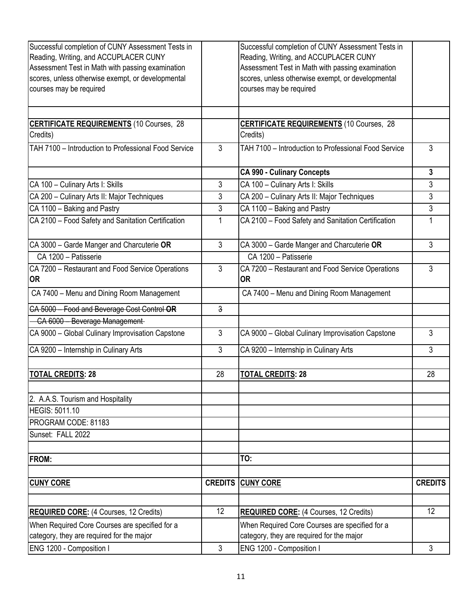| Successful completion of CUNY Assessment Tests in<br>Reading, Writing, and ACCUPLACER CUNY<br>Assessment Test in Math with passing examination<br>scores, unless otherwise exempt, or developmental<br>courses may be required |                | Successful completion of CUNY Assessment Tests in<br>Reading, Writing, and ACCUPLACER CUNY<br>Assessment Test in Math with passing examination<br>scores, unless otherwise exempt, or developmental<br>courses may be required |                |
|--------------------------------------------------------------------------------------------------------------------------------------------------------------------------------------------------------------------------------|----------------|--------------------------------------------------------------------------------------------------------------------------------------------------------------------------------------------------------------------------------|----------------|
| <b>CERTIFICATE REQUIREMENTS (10 Courses, 28</b>                                                                                                                                                                                |                | <b>CERTIFICATE REQUIREMENTS</b> (10 Courses, 28                                                                                                                                                                                |                |
| Credits)                                                                                                                                                                                                                       |                | Credits)                                                                                                                                                                                                                       |                |
| TAH 7100 - Introduction to Professional Food Service                                                                                                                                                                           | $\mathbf{3}$   | TAH 7100 - Introduction to Professional Food Service                                                                                                                                                                           | 3              |
|                                                                                                                                                                                                                                |                | <b>CA 990 - Culinary Concepts</b>                                                                                                                                                                                              | 3              |
| CA 100 - Culinary Arts I: Skills                                                                                                                                                                                               | 3              | CA 100 - Culinary Arts I: Skills                                                                                                                                                                                               | 3              |
| CA 200 - Culinary Arts II: Major Techniques                                                                                                                                                                                    | 3              | CA 200 - Culinary Arts II: Major Techniques                                                                                                                                                                                    | 3              |
| CA 1100 - Baking and Pastry                                                                                                                                                                                                    | $\mathfrak{Z}$ | CA 1100 - Baking and Pastry                                                                                                                                                                                                    | 3              |
| CA 2100 - Food Safety and Sanitation Certification                                                                                                                                                                             | 1              | CA 2100 - Food Safety and Sanitation Certification                                                                                                                                                                             |                |
| CA 3000 - Garde Manger and Charcuterie OR                                                                                                                                                                                      | 3              | CA 3000 - Garde Manger and Charcuterie OR                                                                                                                                                                                      | 3              |
| CA 1200 - Patisserie                                                                                                                                                                                                           |                | CA 1200 - Patisserie                                                                                                                                                                                                           |                |
| CA 7200 - Restaurant and Food Service Operations<br><b>OR</b>                                                                                                                                                                  | $\mathbf{3}$   | CA 7200 - Restaurant and Food Service Operations<br>0R                                                                                                                                                                         | 3              |
| CA 7400 - Menu and Dining Room Management                                                                                                                                                                                      |                | CA 7400 - Menu and Dining Room Management                                                                                                                                                                                      |                |
| CA 5000 - Food and Beverage Cost Control OR                                                                                                                                                                                    | $\overline{3}$ |                                                                                                                                                                                                                                |                |
| CA 6000 - Beverage Management-                                                                                                                                                                                                 |                |                                                                                                                                                                                                                                |                |
| CA 9000 - Global Culinary Improvisation Capstone                                                                                                                                                                               | $\mathfrak{Z}$ | CA 9000 - Global Culinary Improvisation Capstone                                                                                                                                                                               | 3              |
| CA 9200 - Internship in Culinary Arts                                                                                                                                                                                          | 3              | CA 9200 - Internship in Culinary Arts                                                                                                                                                                                          | 3              |
| <b>TOTAL CREDITS: 28</b>                                                                                                                                                                                                       | 28             | <b>TOTAL CREDITS: 28</b>                                                                                                                                                                                                       | 28             |
| 2. A.A.S. Tourism and Hospitality                                                                                                                                                                                              |                |                                                                                                                                                                                                                                |                |
| <b>HEGIS: 5011.10</b>                                                                                                                                                                                                          |                |                                                                                                                                                                                                                                |                |
| PROGRAM CODE: 81183                                                                                                                                                                                                            |                |                                                                                                                                                                                                                                |                |
| Sunset: FALL 2022                                                                                                                                                                                                              |                |                                                                                                                                                                                                                                |                |
| <b>FROM:</b>                                                                                                                                                                                                                   |                | TO:                                                                                                                                                                                                                            |                |
| <b>CUNY CORE</b>                                                                                                                                                                                                               |                | <b>CREDITS CUNY CORE</b>                                                                                                                                                                                                       | <b>CREDITS</b> |
| <b>REQUIRED CORE:</b> (4 Courses, 12 Credits)                                                                                                                                                                                  | 12             | <b>REQUIRED CORE:</b> (4 Courses, 12 Credits)                                                                                                                                                                                  | 12             |
| When Required Core Courses are specified for a                                                                                                                                                                                 |                | When Required Core Courses are specified for a                                                                                                                                                                                 |                |
| category, they are required for the major                                                                                                                                                                                      |                | category, they are required for the major                                                                                                                                                                                      |                |
| ENG 1200 - Composition I                                                                                                                                                                                                       | 3              | ENG 1200 - Composition I                                                                                                                                                                                                       | 3              |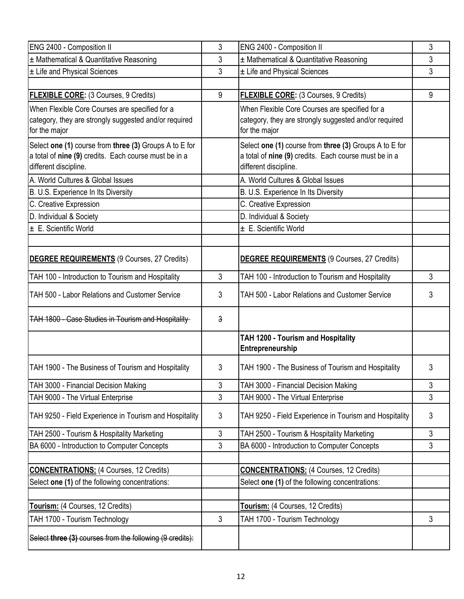| ENG 2400 - Composition II                                                                                                                | 3              | ENG 2400 - Composition II                                                                                                                | 3              |
|------------------------------------------------------------------------------------------------------------------------------------------|----------------|------------------------------------------------------------------------------------------------------------------------------------------|----------------|
| ± Mathematical & Quantitative Reasoning                                                                                                  | 3              | ± Mathematical & Quantitative Reasoning                                                                                                  | 3              |
| ± Life and Physical Sciences                                                                                                             | 3              | ± Life and Physical Sciences                                                                                                             | 3              |
|                                                                                                                                          |                |                                                                                                                                          |                |
| FLEXIBLE CORE: (3 Courses, 9 Credits)                                                                                                    | 9              | FLEXIBLE CORE: (3 Courses, 9 Credits)                                                                                                    | 9              |
| When Flexible Core Courses are specified for a<br>category, they are strongly suggested and/or required<br>for the major                 |                | When Flexible Core Courses are specified for a<br>category, they are strongly suggested and/or required<br>for the major                 |                |
| Select one (1) course from three (3) Groups A to E for<br>a total of nine (9) credits. Each course must be in a<br>different discipline. |                | Select one (1) course from three (3) Groups A to E for<br>a total of nine (9) credits. Each course must be in a<br>different discipline. |                |
| A. World Cultures & Global Issues                                                                                                        |                | A. World Cultures & Global Issues                                                                                                        |                |
| B. U.S. Experience In Its Diversity                                                                                                      |                | B. U.S. Experience In Its Diversity                                                                                                      |                |
| C. Creative Expression                                                                                                                   |                | C. Creative Expression                                                                                                                   |                |
| D. Individual & Society                                                                                                                  |                | D. Individual & Society                                                                                                                  |                |
| $\pm$ E. Scientific World                                                                                                                |                | ± E. Scientific World                                                                                                                    |                |
|                                                                                                                                          |                |                                                                                                                                          |                |
| DEGREE REQUIREMENTS (9 Courses, 27 Credits)                                                                                              |                | <b>DEGREE REQUIREMENTS (9 Courses, 27 Credits)</b>                                                                                       |                |
| TAH 100 - Introduction to Tourism and Hospitality                                                                                        | 3              | TAH 100 - Introduction to Tourism and Hospitality                                                                                        | 3              |
| TAH 500 - Labor Relations and Customer Service                                                                                           | 3              | TAH 500 - Labor Relations and Customer Service                                                                                           | 3              |
| TAH 1800 - Case Studies in Tourism and Hospitality                                                                                       | $\mathbf{3}$   |                                                                                                                                          |                |
|                                                                                                                                          |                | TAH 1200 - Tourism and Hospitality<br>Entrepreneurship                                                                                   |                |
| TAH 1900 - The Business of Tourism and Hospitality                                                                                       | 3              | TAH 1900 - The Business of Tourism and Hospitality                                                                                       | 3              |
| TAH 3000 - Financial Decision Making                                                                                                     | 3              | TAH 3000 - Financial Decision Making                                                                                                     | 3              |
| TAH 9000 - The Virtual Enterprise                                                                                                        | 3              | TAH 9000 - The Virtual Enterprise                                                                                                        | 3              |
| TAH 9250 - Field Experience in Tourism and Hospitality                                                                                   | $\mathfrak{Z}$ | TAH 9250 - Field Experience in Tourism and Hospitality                                                                                   | 3              |
| TAH 2500 - Tourism & Hospitality Marketing                                                                                               | 3              | TAH 2500 - Tourism & Hospitality Marketing                                                                                               | 3              |
| BA 6000 - Introduction to Computer Concepts                                                                                              | 3              | BA 6000 - Introduction to Computer Concepts                                                                                              | $\mathfrak{S}$ |
| <b>CONCENTRATIONS: (4 Courses, 12 Credits)</b>                                                                                           |                | <b>CONCENTRATIONS: (4 Courses, 12 Credits)</b>                                                                                           |                |
| Select one (1) of the following concentrations:                                                                                          |                | Select one (1) of the following concentrations:                                                                                          |                |
|                                                                                                                                          |                |                                                                                                                                          |                |
| Tourism: (4 Courses, 12 Credits)                                                                                                         |                | Tourism: (4 Courses, 12 Credits)                                                                                                         |                |
| TAH 1700 - Tourism Technology                                                                                                            | $\mathfrak{Z}$ | TAH 1700 - Tourism Technology                                                                                                            | 3              |
| Select three (3) courses from the following (9 credits):                                                                                 |                |                                                                                                                                          |                |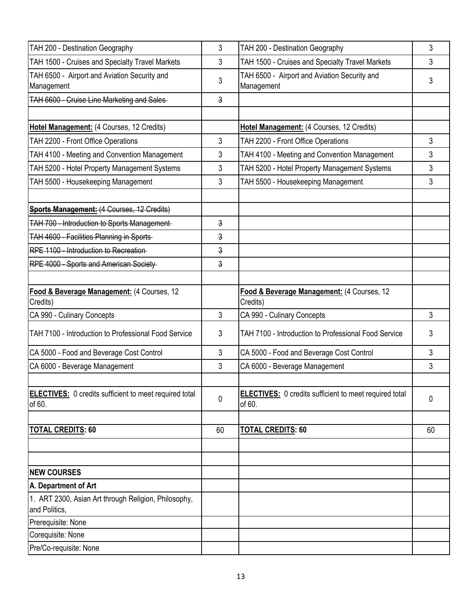| TAH 200 - Destination Geography                                         | 3  | TAH 200 - Destination Geography                                         | 3  |
|-------------------------------------------------------------------------|----|-------------------------------------------------------------------------|----|
| TAH 1500 - Cruises and Specialty Travel Markets                         | 3  | TAH 1500 - Cruises and Specialty Travel Markets                         | 3  |
| TAH 6500 - Airport and Aviation Security and<br>Management              | 3  | TAH 6500 - Airport and Aviation Security and<br>Management              | 3  |
| TAH 6600 - Cruise Line Marketing and Sales-                             | 3  |                                                                         |    |
|                                                                         |    |                                                                         |    |
| Hotel Management: (4 Courses, 12 Credits)                               |    | Hotel Management: (4 Courses, 12 Credits)                               |    |
| TAH 2200 - Front Office Operations                                      | 3  | TAH 2200 - Front Office Operations                                      | 3  |
| TAH 4100 - Meeting and Convention Management                            | 3  | TAH 4100 - Meeting and Convention Management                            | 3  |
| TAH 5200 - Hotel Property Management Systems                            | 3  | TAH 5200 - Hotel Property Management Systems                            | 3  |
| TAH 5500 - Housekeeping Management                                      | 3  | TAH 5500 - Housekeeping Management                                      | 3  |
| <b>Sports Management: (4 Courses, 12 Credits)</b>                       |    |                                                                         |    |
| TAH 700 - Introduction to Sports Management-                            | 3  |                                                                         |    |
| <b>TAH 4600 - Facilities Planning in Sports-</b>                        | 3  |                                                                         |    |
| RPE 1100 - Introduction to Recreation                                   | 3  |                                                                         |    |
| RPE 4000 - Sports and American Society-                                 | 3  |                                                                         |    |
| Food & Beverage Management: (4 Courses, 12<br>Credits)                  |    | Food & Beverage Management: (4 Courses, 12<br>Credits)                  |    |
| CA 990 - Culinary Concepts                                              | 3  | CA 990 - Culinary Concepts                                              | 3  |
| TAH 7100 - Introduction to Professional Food Service                    | 3  | TAH 7100 - Introduction to Professional Food Service                    | 3  |
| CA 5000 - Food and Beverage Cost Control                                | 3  | CA 5000 - Food and Beverage Cost Control                                | 3  |
| CA 6000 - Beverage Management                                           | 3  | CA 6000 - Beverage Management                                           | 3  |
| <b>ELECTIVES:</b> 0 credits sufficient to meet required total<br>of 60. | 0  | <b>ELECTIVES:</b> 0 credits sufficient to meet required total<br>of 60. | 0  |
| <u>TOTAL CREDITS: 60</u>                                                | 60 | <b>TOTAL CREDITS: 60</b>                                                | 60 |
|                                                                         |    |                                                                         |    |
|                                                                         |    |                                                                         |    |
| <b>NEW COURSES</b>                                                      |    |                                                                         |    |
| A. Department of Art                                                    |    |                                                                         |    |
| 1. ART 2300, Asian Art through Religion, Philosophy,<br>and Politics.   |    |                                                                         |    |
| Prerequisite: None                                                      |    |                                                                         |    |
| Corequisite: None                                                       |    |                                                                         |    |
| Pre/Co-requisite: None                                                  |    |                                                                         |    |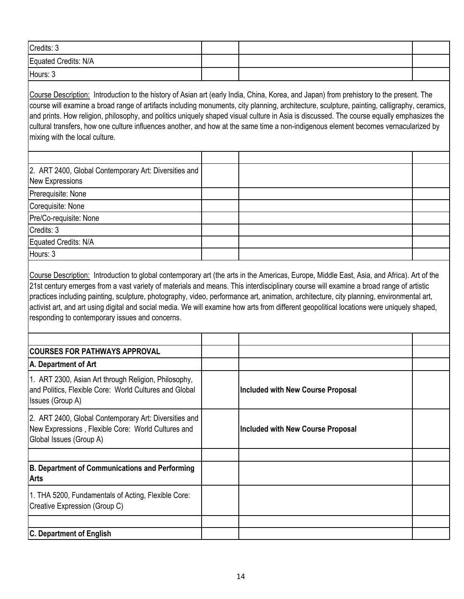| Credits: 3           |  |  |
|----------------------|--|--|
| Equated Credits: N/A |  |  |
| Hours: 3             |  |  |

Course Description: Introduction to the history of Asian art (early India, China, Korea, and Japan) from prehistory to the present. The course will examine a broad range of artifacts including monuments, city planning, architecture, sculpture, painting, calligraphy, ceramics, and prints. How religion, philosophy, and politics uniquely shaped visual culture in Asia is discussed. The course equally emphasizes the cultural transfers, how one culture influences another, and how at the same time a non-indigenous element becomes vernacularized by mixing with the local culture.

| 2. ART 2400, Global Contemporary Art: Diversities and<br>New Expressions |  |  |
|--------------------------------------------------------------------------|--|--|
| Prerequisite: None                                                       |  |  |
| Corequisite: None                                                        |  |  |
| Pre/Co-requisite: None                                                   |  |  |
| Credits: 3                                                               |  |  |
| Equated Credits: N/A                                                     |  |  |
| Hours: 3                                                                 |  |  |

Course Description: Introduction to global contemporary art (the arts in the Americas, Europe, Middle East, Asia, and Africa). Art of the 21st century emerges from a vast variety of materials and means. This interdisciplinary course will examine a broad range of artistic practices including painting, sculpture, photography, video, performance art, animation, architecture, city planning, environmental art, activist art, and art using digital and social media. We will examine how arts from different geopolitical locations were uniquely shaped, responding to contemporary issues and concerns.

| <b>COURSES FOR PATHWAYS APPROVAL</b>                                                                                                   |                                          |  |
|----------------------------------------------------------------------------------------------------------------------------------------|------------------------------------------|--|
| A. Department of Art                                                                                                                   |                                          |  |
| 1. ART 2300, Asian Art through Religion, Philosophy,<br>and Politics, Flexible Core: World Cultures and Global<br>Issues (Group A)     | <b>Included with New Course Proposal</b> |  |
| 2. ART 2400, Global Contemporary Art: Diversities and<br>New Expressions, Flexible Core: World Cultures and<br>Global Issues (Group A) | <b>Included with New Course Proposal</b> |  |
|                                                                                                                                        |                                          |  |
| B. Department of Communications and Performing<br><b>Arts</b>                                                                          |                                          |  |
| 1. THA 5200, Fundamentals of Acting, Flexible Core:<br>Creative Expression (Group C)                                                   |                                          |  |
| <b>C. Department of English</b>                                                                                                        |                                          |  |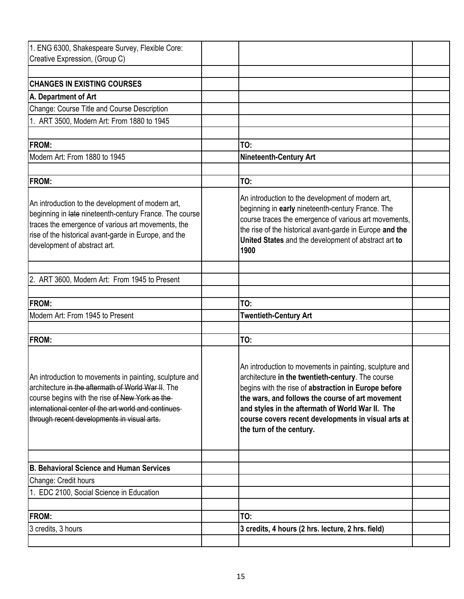| 1. ENG 6300, Shakespeare Survey, Flexible Core:<br>Creative Expression, (Group C)                                                                                                                                                                                     |                                                                                                                                                                                                                                                                                                                                                                 |  |
|-----------------------------------------------------------------------------------------------------------------------------------------------------------------------------------------------------------------------------------------------------------------------|-----------------------------------------------------------------------------------------------------------------------------------------------------------------------------------------------------------------------------------------------------------------------------------------------------------------------------------------------------------------|--|
|                                                                                                                                                                                                                                                                       |                                                                                                                                                                                                                                                                                                                                                                 |  |
| <b>CHANGES IN EXISTING COURSES</b>                                                                                                                                                                                                                                    |                                                                                                                                                                                                                                                                                                                                                                 |  |
| A. Department of Art                                                                                                                                                                                                                                                  |                                                                                                                                                                                                                                                                                                                                                                 |  |
| Change: Course Title and Course Description                                                                                                                                                                                                                           |                                                                                                                                                                                                                                                                                                                                                                 |  |
| 1. ART 3500, Modern Art: From 1880 to 1945                                                                                                                                                                                                                            |                                                                                                                                                                                                                                                                                                                                                                 |  |
|                                                                                                                                                                                                                                                                       |                                                                                                                                                                                                                                                                                                                                                                 |  |
| <b>FROM:</b>                                                                                                                                                                                                                                                          | TO:                                                                                                                                                                                                                                                                                                                                                             |  |
| Modern Art: From 1880 to 1945                                                                                                                                                                                                                                         | <b>Nineteenth-Century Art</b>                                                                                                                                                                                                                                                                                                                                   |  |
|                                                                                                                                                                                                                                                                       |                                                                                                                                                                                                                                                                                                                                                                 |  |
| <b>FROM:</b>                                                                                                                                                                                                                                                          | TO:                                                                                                                                                                                                                                                                                                                                                             |  |
| An introduction to the development of modern art,<br>beginning in late nineteenth-century France. The course<br>traces the emergence of various art movements, the<br>rise of the historical avant-garde in Europe, and the<br>development of abstract art.           | An introduction to the development of modern art,<br>beginning in early nineteenth-century France. The<br>course traces the emergence of various art movements,<br>the rise of the historical avant-garde in Europe and the<br>United States and the development of abstract art to<br>1900                                                                     |  |
|                                                                                                                                                                                                                                                                       |                                                                                                                                                                                                                                                                                                                                                                 |  |
| 2. ART 3600, Modern Art: From 1945 to Present                                                                                                                                                                                                                         |                                                                                                                                                                                                                                                                                                                                                                 |  |
| <b>FROM:</b>                                                                                                                                                                                                                                                          | TO:                                                                                                                                                                                                                                                                                                                                                             |  |
| Modern Art: From 1945 to Present                                                                                                                                                                                                                                      | <b>Twentieth-Century Art</b>                                                                                                                                                                                                                                                                                                                                    |  |
|                                                                                                                                                                                                                                                                       |                                                                                                                                                                                                                                                                                                                                                                 |  |
| <b>FROM:</b>                                                                                                                                                                                                                                                          | TO:                                                                                                                                                                                                                                                                                                                                                             |  |
| An introduction to movements in painting, sculpture and<br>architecture in the aftermath of World War II. The<br>course begins with the rise of New York as the<br>international center of the art world and continues<br>through recent developments in visual arts. | An introduction to movements in painting, sculpture and<br>architecture in the twentieth-century. The course<br>begins with the rise of abstraction in Europe before<br>the wars, and follows the course of art movement<br>and styles in the aftermath of World War II. The<br>course covers recent developments in visual arts at<br>the turn of the century. |  |
| <b>B. Behavioral Science and Human Services</b>                                                                                                                                                                                                                       |                                                                                                                                                                                                                                                                                                                                                                 |  |
| Change: Credit hours                                                                                                                                                                                                                                                  |                                                                                                                                                                                                                                                                                                                                                                 |  |
| 1. EDC 2100, Social Science in Education                                                                                                                                                                                                                              |                                                                                                                                                                                                                                                                                                                                                                 |  |
|                                                                                                                                                                                                                                                                       |                                                                                                                                                                                                                                                                                                                                                                 |  |
| <b>FROM:</b>                                                                                                                                                                                                                                                          | TO:                                                                                                                                                                                                                                                                                                                                                             |  |
| 3 credits, 3 hours                                                                                                                                                                                                                                                    | 3 credits, 4 hours (2 hrs. lecture, 2 hrs. field)                                                                                                                                                                                                                                                                                                               |  |
|                                                                                                                                                                                                                                                                       |                                                                                                                                                                                                                                                                                                                                                                 |  |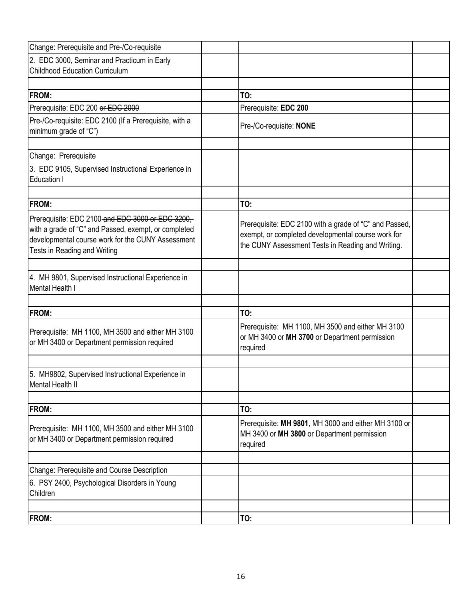| Change: Prerequisite and Pre-/Co-requisite                                                                                                                                                    |                                                                                                                                                                   |  |
|-----------------------------------------------------------------------------------------------------------------------------------------------------------------------------------------------|-------------------------------------------------------------------------------------------------------------------------------------------------------------------|--|
| 2. EDC 3000, Seminar and Practicum in Early<br><b>Childhood Education Curriculum</b>                                                                                                          |                                                                                                                                                                   |  |
| FROM:                                                                                                                                                                                         | TO:                                                                                                                                                               |  |
| Prerequisite: EDC 200 or EDC 2000                                                                                                                                                             | Prerequisite: EDC 200                                                                                                                                             |  |
| Pre-/Co-requisite: EDC 2100 (If a Prerequisite, with a<br>minimum grade of "C")                                                                                                               | Pre-/Co-requisite: NONE                                                                                                                                           |  |
| Change: Prerequisite                                                                                                                                                                          |                                                                                                                                                                   |  |
| 3. EDC 9105, Supervised Instructional Experience in<br>Education I                                                                                                                            |                                                                                                                                                                   |  |
| <b>FROM:</b>                                                                                                                                                                                  | TO:                                                                                                                                                               |  |
| Prerequisite: EDC 2100-and EDC 3000 or EDC 3200,<br>with a grade of "C" and Passed, exempt, or completed<br>developmental course work for the CUNY Assessment<br>Tests in Reading and Writing | Prerequisite: EDC 2100 with a grade of "C" and Passed,<br>exempt, or completed developmental course work for<br>the CUNY Assessment Tests in Reading and Writing. |  |
| 4. MH 9801, Supervised Instructional Experience in<br><b>Mental Health I</b>                                                                                                                  |                                                                                                                                                                   |  |
| <b>FROM:</b>                                                                                                                                                                                  | TO:                                                                                                                                                               |  |
| Prerequisite: MH 1100, MH 3500 and either MH 3100<br>or MH 3400 or Department permission required                                                                                             | Prerequisite: MH 1100, MH 3500 and either MH 3100<br>or MH 3400 or MH 3700 or Department permission<br>required                                                   |  |
| 5. MH9802, Supervised Instructional Experience in<br><b>Mental Health II</b>                                                                                                                  |                                                                                                                                                                   |  |
| FROM:                                                                                                                                                                                         | TO:                                                                                                                                                               |  |
| Prerequisite: MH 1100, MH 3500 and either MH 3100<br>or MH 3400 or Department permission required                                                                                             | Prerequisite: MH 9801, MH 3000 and either MH 3100 or<br>MH 3400 or MH 3800 or Department permission<br>required                                                   |  |
| Change: Prerequisite and Course Description                                                                                                                                                   |                                                                                                                                                                   |  |
| 6. PSY 2400, Psychological Disorders in Young<br>Children                                                                                                                                     |                                                                                                                                                                   |  |
| FROM:                                                                                                                                                                                         | TO:                                                                                                                                                               |  |
|                                                                                                                                                                                               |                                                                                                                                                                   |  |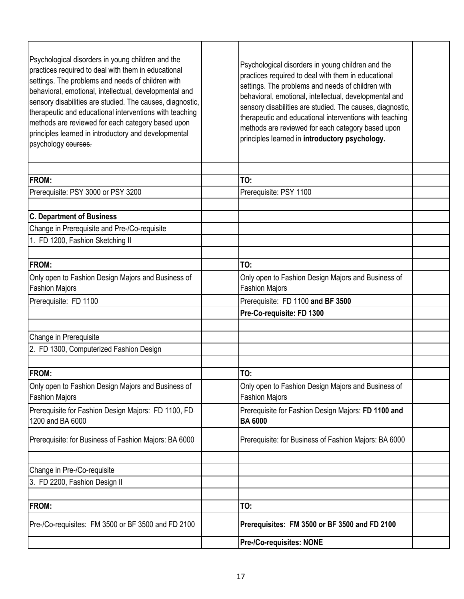| Psychological disorders in young children and the<br>practices required to deal with them in educational<br>settings. The problems and needs of children with<br>behavioral, emotional, intellectual, developmental and<br>sensory disabilities are studied. The causes, diagnostic,<br>therapeutic and educational interventions with teaching<br>methods are reviewed for each category based upon<br>principles learned in introductory and developmental-<br>psychology courses. | Psychological disorders in young children and the<br>practices required to deal with them in educational<br>settings. The problems and needs of children with<br>behavioral, emotional, intellectual, developmental and<br>sensory disabilities are studied. The causes, diagnostic,<br>therapeutic and educational interventions with teaching<br>methods are reviewed for each category based upon<br>principles learned in introductory psychology. |  |
|--------------------------------------------------------------------------------------------------------------------------------------------------------------------------------------------------------------------------------------------------------------------------------------------------------------------------------------------------------------------------------------------------------------------------------------------------------------------------------------|--------------------------------------------------------------------------------------------------------------------------------------------------------------------------------------------------------------------------------------------------------------------------------------------------------------------------------------------------------------------------------------------------------------------------------------------------------|--|
| <b>FROM:</b>                                                                                                                                                                                                                                                                                                                                                                                                                                                                         | TO:                                                                                                                                                                                                                                                                                                                                                                                                                                                    |  |
|                                                                                                                                                                                                                                                                                                                                                                                                                                                                                      |                                                                                                                                                                                                                                                                                                                                                                                                                                                        |  |
| Prerequisite: PSY 3000 or PSY 3200                                                                                                                                                                                                                                                                                                                                                                                                                                                   | Prerequisite: PSY 1100                                                                                                                                                                                                                                                                                                                                                                                                                                 |  |
| <b>C. Department of Business</b>                                                                                                                                                                                                                                                                                                                                                                                                                                                     |                                                                                                                                                                                                                                                                                                                                                                                                                                                        |  |
| Change in Prerequisite and Pre-/Co-requisite                                                                                                                                                                                                                                                                                                                                                                                                                                         |                                                                                                                                                                                                                                                                                                                                                                                                                                                        |  |
| 1. FD 1200, Fashion Sketching II                                                                                                                                                                                                                                                                                                                                                                                                                                                     |                                                                                                                                                                                                                                                                                                                                                                                                                                                        |  |
|                                                                                                                                                                                                                                                                                                                                                                                                                                                                                      |                                                                                                                                                                                                                                                                                                                                                                                                                                                        |  |
| <b>IFROM:</b>                                                                                                                                                                                                                                                                                                                                                                                                                                                                        | TO:                                                                                                                                                                                                                                                                                                                                                                                                                                                    |  |
| Only open to Fashion Design Majors and Business of<br><b>Fashion Majors</b>                                                                                                                                                                                                                                                                                                                                                                                                          | Only open to Fashion Design Majors and Business of<br><b>Fashion Majors</b>                                                                                                                                                                                                                                                                                                                                                                            |  |
| Prerequisite: FD 1100                                                                                                                                                                                                                                                                                                                                                                                                                                                                | Prerequisite: FD 1100 and BF 3500                                                                                                                                                                                                                                                                                                                                                                                                                      |  |
|                                                                                                                                                                                                                                                                                                                                                                                                                                                                                      | Pre-Co-requisite: FD 1300                                                                                                                                                                                                                                                                                                                                                                                                                              |  |
|                                                                                                                                                                                                                                                                                                                                                                                                                                                                                      |                                                                                                                                                                                                                                                                                                                                                                                                                                                        |  |
| Change in Prerequisite                                                                                                                                                                                                                                                                                                                                                                                                                                                               |                                                                                                                                                                                                                                                                                                                                                                                                                                                        |  |
| 2. FD 1300, Computerized Fashion Design                                                                                                                                                                                                                                                                                                                                                                                                                                              |                                                                                                                                                                                                                                                                                                                                                                                                                                                        |  |
|                                                                                                                                                                                                                                                                                                                                                                                                                                                                                      |                                                                                                                                                                                                                                                                                                                                                                                                                                                        |  |
| <b>FROM:</b>                                                                                                                                                                                                                                                                                                                                                                                                                                                                         | TO:                                                                                                                                                                                                                                                                                                                                                                                                                                                    |  |
| Only open to Fashion Design Majors and Business of<br><b>Fashion Majors</b>                                                                                                                                                                                                                                                                                                                                                                                                          | Only open to Fashion Design Majors and Business of<br><b>Fashion Majors</b>                                                                                                                                                                                                                                                                                                                                                                            |  |
| Prerequisite for Fashion Design Majors: FD 1100, FD<br>4200-and BA 6000                                                                                                                                                                                                                                                                                                                                                                                                              | Prerequisite for Fashion Design Majors: FD 1100 and<br><b>BA 6000</b>                                                                                                                                                                                                                                                                                                                                                                                  |  |
| Prerequisite: for Business of Fashion Majors: BA 6000                                                                                                                                                                                                                                                                                                                                                                                                                                | Prerequisite: for Business of Fashion Majors: BA 6000                                                                                                                                                                                                                                                                                                                                                                                                  |  |
|                                                                                                                                                                                                                                                                                                                                                                                                                                                                                      |                                                                                                                                                                                                                                                                                                                                                                                                                                                        |  |
| Change in Pre-/Co-requisite                                                                                                                                                                                                                                                                                                                                                                                                                                                          |                                                                                                                                                                                                                                                                                                                                                                                                                                                        |  |
| 3. FD 2200, Fashion Design II                                                                                                                                                                                                                                                                                                                                                                                                                                                        |                                                                                                                                                                                                                                                                                                                                                                                                                                                        |  |
|                                                                                                                                                                                                                                                                                                                                                                                                                                                                                      |                                                                                                                                                                                                                                                                                                                                                                                                                                                        |  |
| <b>FROM:</b>                                                                                                                                                                                                                                                                                                                                                                                                                                                                         | TO:                                                                                                                                                                                                                                                                                                                                                                                                                                                    |  |
| Pre-/Co-requisites: FM 3500 or BF 3500 and FD 2100                                                                                                                                                                                                                                                                                                                                                                                                                                   | Prerequisites: FM 3500 or BF 3500 and FD 2100                                                                                                                                                                                                                                                                                                                                                                                                          |  |
|                                                                                                                                                                                                                                                                                                                                                                                                                                                                                      | <b>Pre-/Co-requisites: NONE</b>                                                                                                                                                                                                                                                                                                                                                                                                                        |  |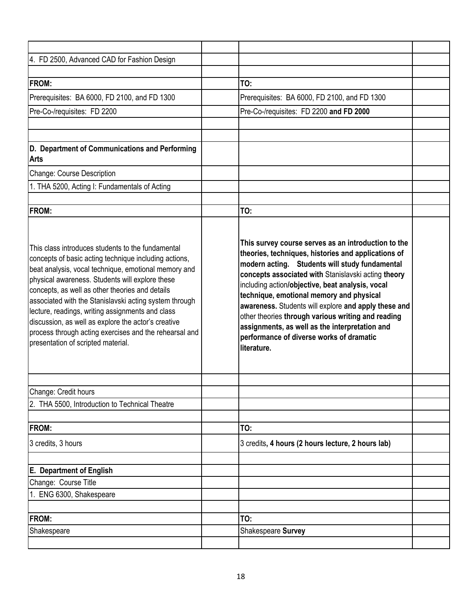| 4. FD 2500, Advanced CAD for Fashion Design                                                                                                                                                                                                                                                                                                                                                                                                                                                                                                   |                                                                                                                                                                                                                                                                                                                                                                                                                                                                                                                                                |  |
|-----------------------------------------------------------------------------------------------------------------------------------------------------------------------------------------------------------------------------------------------------------------------------------------------------------------------------------------------------------------------------------------------------------------------------------------------------------------------------------------------------------------------------------------------|------------------------------------------------------------------------------------------------------------------------------------------------------------------------------------------------------------------------------------------------------------------------------------------------------------------------------------------------------------------------------------------------------------------------------------------------------------------------------------------------------------------------------------------------|--|
|                                                                                                                                                                                                                                                                                                                                                                                                                                                                                                                                               |                                                                                                                                                                                                                                                                                                                                                                                                                                                                                                                                                |  |
| <b>IFROM:</b>                                                                                                                                                                                                                                                                                                                                                                                                                                                                                                                                 | TO:                                                                                                                                                                                                                                                                                                                                                                                                                                                                                                                                            |  |
| Prerequisites: BA 6000, FD 2100, and FD 1300                                                                                                                                                                                                                                                                                                                                                                                                                                                                                                  | Prerequisites: BA 6000, FD 2100, and FD 1300                                                                                                                                                                                                                                                                                                                                                                                                                                                                                                   |  |
| Pre-Co-/requisites: FD 2200                                                                                                                                                                                                                                                                                                                                                                                                                                                                                                                   | Pre-Co-/requisites: FD 2200 and FD 2000                                                                                                                                                                                                                                                                                                                                                                                                                                                                                                        |  |
|                                                                                                                                                                                                                                                                                                                                                                                                                                                                                                                                               |                                                                                                                                                                                                                                                                                                                                                                                                                                                                                                                                                |  |
|                                                                                                                                                                                                                                                                                                                                                                                                                                                                                                                                               |                                                                                                                                                                                                                                                                                                                                                                                                                                                                                                                                                |  |
| D. Department of Communications and Performing<br><b>Arts</b>                                                                                                                                                                                                                                                                                                                                                                                                                                                                                 |                                                                                                                                                                                                                                                                                                                                                                                                                                                                                                                                                |  |
| Change: Course Description                                                                                                                                                                                                                                                                                                                                                                                                                                                                                                                    |                                                                                                                                                                                                                                                                                                                                                                                                                                                                                                                                                |  |
| 1. THA 5200, Acting I: Fundamentals of Acting                                                                                                                                                                                                                                                                                                                                                                                                                                                                                                 |                                                                                                                                                                                                                                                                                                                                                                                                                                                                                                                                                |  |
|                                                                                                                                                                                                                                                                                                                                                                                                                                                                                                                                               |                                                                                                                                                                                                                                                                                                                                                                                                                                                                                                                                                |  |
| <b>FROM:</b>                                                                                                                                                                                                                                                                                                                                                                                                                                                                                                                                  | TO:                                                                                                                                                                                                                                                                                                                                                                                                                                                                                                                                            |  |
| This class introduces students to the fundamental<br>concepts of basic acting technique including actions,<br>beat analysis, vocal technique, emotional memory and<br>physical awareness. Students will explore these<br>concepts, as well as other theories and details<br>associated with the Stanislavski acting system through<br>lecture, readings, writing assignments and class<br>discussion, as well as explore the actor's creative<br>process through acting exercises and the rehearsal and<br>presentation of scripted material. | This survey course serves as an introduction to the<br>theories, techniques, histories and applications of<br>modern acting. Students will study fundamental<br>concepts associated with Stanislavski acting theory<br>including action/objective, beat analysis, vocal<br>technique, emotional memory and physical<br>awareness. Students will explore and apply these and<br>other theories through various writing and reading<br>assignments, as well as the interpretation and<br>performance of diverse works of dramatic<br>literature. |  |
| Change: Credit hours                                                                                                                                                                                                                                                                                                                                                                                                                                                                                                                          |                                                                                                                                                                                                                                                                                                                                                                                                                                                                                                                                                |  |
| 2. THA 5500, Introduction to Technical Theatre                                                                                                                                                                                                                                                                                                                                                                                                                                                                                                |                                                                                                                                                                                                                                                                                                                                                                                                                                                                                                                                                |  |
|                                                                                                                                                                                                                                                                                                                                                                                                                                                                                                                                               |                                                                                                                                                                                                                                                                                                                                                                                                                                                                                                                                                |  |
| <b>FROM:</b>                                                                                                                                                                                                                                                                                                                                                                                                                                                                                                                                  | TO:                                                                                                                                                                                                                                                                                                                                                                                                                                                                                                                                            |  |
| 3 credits, 3 hours                                                                                                                                                                                                                                                                                                                                                                                                                                                                                                                            | 3 credits, 4 hours (2 hours lecture, 2 hours lab)                                                                                                                                                                                                                                                                                                                                                                                                                                                                                              |  |
| <b>E.</b> Department of English                                                                                                                                                                                                                                                                                                                                                                                                                                                                                                               |                                                                                                                                                                                                                                                                                                                                                                                                                                                                                                                                                |  |
| Change: Course Title                                                                                                                                                                                                                                                                                                                                                                                                                                                                                                                          |                                                                                                                                                                                                                                                                                                                                                                                                                                                                                                                                                |  |
| 1. ENG 6300, Shakespeare                                                                                                                                                                                                                                                                                                                                                                                                                                                                                                                      |                                                                                                                                                                                                                                                                                                                                                                                                                                                                                                                                                |  |
|                                                                                                                                                                                                                                                                                                                                                                                                                                                                                                                                               |                                                                                                                                                                                                                                                                                                                                                                                                                                                                                                                                                |  |
| <b>FROM:</b>                                                                                                                                                                                                                                                                                                                                                                                                                                                                                                                                  | TO:                                                                                                                                                                                                                                                                                                                                                                                                                                                                                                                                            |  |
| Shakespeare                                                                                                                                                                                                                                                                                                                                                                                                                                                                                                                                   | Shakespeare Survey                                                                                                                                                                                                                                                                                                                                                                                                                                                                                                                             |  |
|                                                                                                                                                                                                                                                                                                                                                                                                                                                                                                                                               |                                                                                                                                                                                                                                                                                                                                                                                                                                                                                                                                                |  |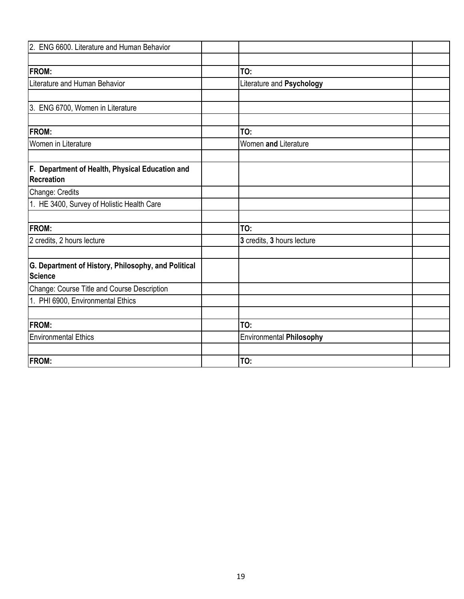| 2. ENG 6600. Literature and Human Behavior                           |                                 |  |
|----------------------------------------------------------------------|---------------------------------|--|
| <b>FROM:</b>                                                         | TO:                             |  |
| Literature and Human Behavior                                        | Literature and Psychology       |  |
| 3. ENG 6700, Women in Literature                                     |                                 |  |
| <b>FROM:</b>                                                         | TO:                             |  |
| Women in Literature                                                  | Women and Literature            |  |
| F. Department of Health, Physical Education and<br><b>Recreation</b> |                                 |  |
| Change: Credits                                                      |                                 |  |
| 1. HE 3400, Survey of Holistic Health Care                           |                                 |  |
| <b>FROM:</b>                                                         | TO:                             |  |
| 2 credits, 2 hours lecture                                           | 3 credits, 3 hours lecture      |  |
| G. Department of History, Philosophy, and Political<br>Science       |                                 |  |
| Change: Course Title and Course Description                          |                                 |  |
| 1. PHI 6900, Environmental Ethics                                    |                                 |  |
| <b>FROM:</b>                                                         | TO:                             |  |
| <b>Environmental Ethics</b>                                          | <b>Environmental Philosophy</b> |  |
| <b>FROM:</b>                                                         | TO:                             |  |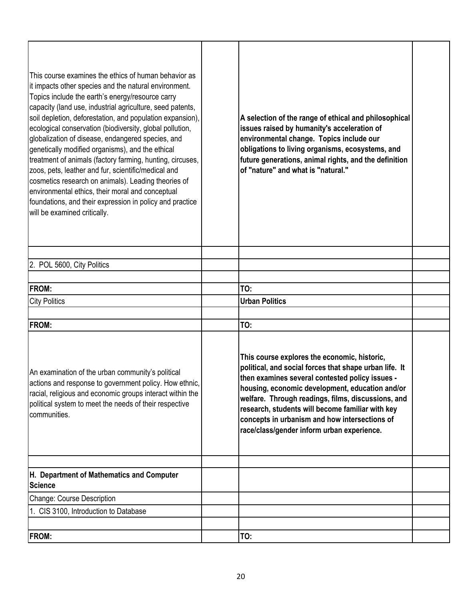| This course examines the ethics of human behavior as<br>it impacts other species and the natural environment.<br>Topics include the earth's energy/resource carry<br>capacity (land use, industrial agriculture, seed patents,<br>soil depletion, deforestation, and population expansion),<br>ecological conservation (biodiversity, global pollution,<br>globalization of disease, endangered species, and<br>genetically modified organisms), and the ethical<br>treatment of animals (factory farming, hunting, circuses,<br>zoos, pets, leather and fur, scientific/medical and<br>cosmetics research on animals). Leading theories of<br>environmental ethics, their moral and conceptual<br>foundations, and their expression in policy and practice<br>will be examined critically. | A selection of the range of ethical and philosophical<br>issues raised by humanity's acceleration of<br>environmental change. Topics include our<br>obligations to living organisms, ecosystems, and<br>future generations, animal rights, and the definition<br>of "nature" and what is "natural."                                                                                                                   |  |
|---------------------------------------------------------------------------------------------------------------------------------------------------------------------------------------------------------------------------------------------------------------------------------------------------------------------------------------------------------------------------------------------------------------------------------------------------------------------------------------------------------------------------------------------------------------------------------------------------------------------------------------------------------------------------------------------------------------------------------------------------------------------------------------------|-----------------------------------------------------------------------------------------------------------------------------------------------------------------------------------------------------------------------------------------------------------------------------------------------------------------------------------------------------------------------------------------------------------------------|--|
|                                                                                                                                                                                                                                                                                                                                                                                                                                                                                                                                                                                                                                                                                                                                                                                             |                                                                                                                                                                                                                                                                                                                                                                                                                       |  |
| 2. POL 5600, City Politics                                                                                                                                                                                                                                                                                                                                                                                                                                                                                                                                                                                                                                                                                                                                                                  |                                                                                                                                                                                                                                                                                                                                                                                                                       |  |
| <b>FROM:</b>                                                                                                                                                                                                                                                                                                                                                                                                                                                                                                                                                                                                                                                                                                                                                                                | TO:                                                                                                                                                                                                                                                                                                                                                                                                                   |  |
| <b>City Politics</b>                                                                                                                                                                                                                                                                                                                                                                                                                                                                                                                                                                                                                                                                                                                                                                        | <b>Urban Politics</b>                                                                                                                                                                                                                                                                                                                                                                                                 |  |
|                                                                                                                                                                                                                                                                                                                                                                                                                                                                                                                                                                                                                                                                                                                                                                                             |                                                                                                                                                                                                                                                                                                                                                                                                                       |  |
| <b>FROM:</b>                                                                                                                                                                                                                                                                                                                                                                                                                                                                                                                                                                                                                                                                                                                                                                                | TO:                                                                                                                                                                                                                                                                                                                                                                                                                   |  |
| An examination of the urban community's political<br>actions and response to government policy. How ethnic,<br>racial, religious and economic groups interact within the<br>political system to meet the needs of their respective<br>communities.                                                                                                                                                                                                                                                                                                                                                                                                                                                                                                                                          | This course explores the economic, historic,<br>political, and social forces that shape urban life. It<br>then examines several contested policy issues -<br>housing, economic development, education and/or<br>welfare. Through readings, films, discussions, and<br>research, students will become familiar with key<br>concepts in urbanism and how intersections of<br>race/class/gender inform urban experience. |  |
|                                                                                                                                                                                                                                                                                                                                                                                                                                                                                                                                                                                                                                                                                                                                                                                             |                                                                                                                                                                                                                                                                                                                                                                                                                       |  |
| H. Department of Mathematics and Computer<br><b>Science</b>                                                                                                                                                                                                                                                                                                                                                                                                                                                                                                                                                                                                                                                                                                                                 |                                                                                                                                                                                                                                                                                                                                                                                                                       |  |
| Change: Course Description                                                                                                                                                                                                                                                                                                                                                                                                                                                                                                                                                                                                                                                                                                                                                                  |                                                                                                                                                                                                                                                                                                                                                                                                                       |  |
| 1. CIS 3100, Introduction to Database                                                                                                                                                                                                                                                                                                                                                                                                                                                                                                                                                                                                                                                                                                                                                       |                                                                                                                                                                                                                                                                                                                                                                                                                       |  |
|                                                                                                                                                                                                                                                                                                                                                                                                                                                                                                                                                                                                                                                                                                                                                                                             |                                                                                                                                                                                                                                                                                                                                                                                                                       |  |
| <b>FROM:</b>                                                                                                                                                                                                                                                                                                                                                                                                                                                                                                                                                                                                                                                                                                                                                                                | TO:                                                                                                                                                                                                                                                                                                                                                                                                                   |  |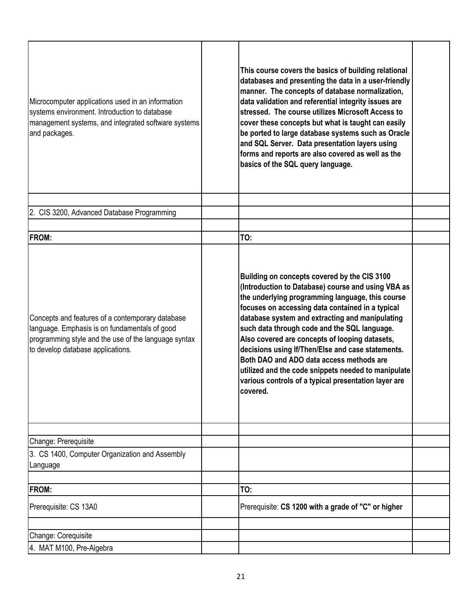| Microcomputer applications used in an information<br>systems environment. Introduction to database<br>management systems, and integrated software systems<br>and packages.                     | This course covers the basics of building relational<br>databases and presenting the data in a user-friendly<br>manner. The concepts of database normalization,<br>data validation and referential integrity issues are<br>stressed. The course utilizes Microsoft Access to<br>cover these concepts but what is taught can easily<br>be ported to large database systems such as Oracle<br>and SQL Server. Data presentation layers using<br>forms and reports are also covered as well as the<br>basics of the SQL query language.                                                        |  |
|------------------------------------------------------------------------------------------------------------------------------------------------------------------------------------------------|---------------------------------------------------------------------------------------------------------------------------------------------------------------------------------------------------------------------------------------------------------------------------------------------------------------------------------------------------------------------------------------------------------------------------------------------------------------------------------------------------------------------------------------------------------------------------------------------|--|
|                                                                                                                                                                                                |                                                                                                                                                                                                                                                                                                                                                                                                                                                                                                                                                                                             |  |
| 2. CIS 3200, Advanced Database Programming                                                                                                                                                     |                                                                                                                                                                                                                                                                                                                                                                                                                                                                                                                                                                                             |  |
|                                                                                                                                                                                                |                                                                                                                                                                                                                                                                                                                                                                                                                                                                                                                                                                                             |  |
| FROM:                                                                                                                                                                                          | TO:                                                                                                                                                                                                                                                                                                                                                                                                                                                                                                                                                                                         |  |
| Concepts and features of a contemporary database<br>language. Emphasis is on fundamentals of good<br>programming style and the use of the language syntax<br>to develop database applications. | Building on concepts covered by the CIS 3100<br>(Introduction to Database) course and using VBA as<br>the underlying programming language, this course<br>focuses on accessing data contained in a typical<br>database system and extracting and manipulating<br>such data through code and the SQL language.<br>Also covered are concepts of looping datasets,<br>decisions using If/Then/Else and case statements.<br>Both DAO and ADO data access methods are<br>utilized and the code snippets needed to manipulate<br>various controls of a typical presentation layer are<br>covered. |  |
| Change: Prerequisite                                                                                                                                                                           |                                                                                                                                                                                                                                                                                                                                                                                                                                                                                                                                                                                             |  |
| 3. CS 1400, Computer Organization and Assembly<br>Language                                                                                                                                     |                                                                                                                                                                                                                                                                                                                                                                                                                                                                                                                                                                                             |  |
| FROM:                                                                                                                                                                                          | TO:                                                                                                                                                                                                                                                                                                                                                                                                                                                                                                                                                                                         |  |
| Prerequisite: CS 13A0                                                                                                                                                                          | Prerequisite: CS 1200 with a grade of "C" or higher                                                                                                                                                                                                                                                                                                                                                                                                                                                                                                                                         |  |
| Change: Corequisite                                                                                                                                                                            |                                                                                                                                                                                                                                                                                                                                                                                                                                                                                                                                                                                             |  |
| 4. MAT M100, Pre-Algebra                                                                                                                                                                       |                                                                                                                                                                                                                                                                                                                                                                                                                                                                                                                                                                                             |  |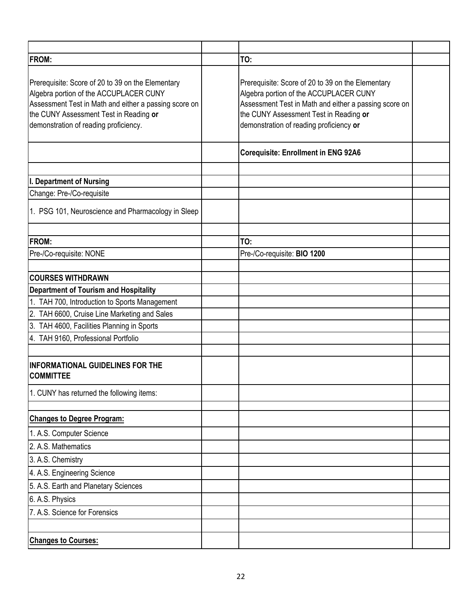| <b>FROM:</b>                                                                                                                                                                                                                            | TO:                                                                                                                                                                                                                                       |  |
|-----------------------------------------------------------------------------------------------------------------------------------------------------------------------------------------------------------------------------------------|-------------------------------------------------------------------------------------------------------------------------------------------------------------------------------------------------------------------------------------------|--|
| Prerequisite: Score of 20 to 39 on the Elementary<br>Algebra portion of the ACCUPLACER CUNY<br>Assessment Test in Math and either a passing score on<br>the CUNY Assessment Test in Reading or<br>demonstration of reading proficiency. | Prerequisite: Score of 20 to 39 on the Elementary<br>Algebra portion of the ACCUPLACER CUNY<br>Assessment Test in Math and either a passing score on<br>the CUNY Assessment Test in Reading or<br>demonstration of reading proficiency or |  |
|                                                                                                                                                                                                                                         | <b>Corequisite: Enrollment in ENG 92A6</b>                                                                                                                                                                                                |  |
| I. Department of Nursing                                                                                                                                                                                                                |                                                                                                                                                                                                                                           |  |
| Change: Pre-/Co-requisite                                                                                                                                                                                                               |                                                                                                                                                                                                                                           |  |
| 1. PSG 101, Neuroscience and Pharmacology in Sleep                                                                                                                                                                                      |                                                                                                                                                                                                                                           |  |
| <b>FROM:</b>                                                                                                                                                                                                                            | TO:                                                                                                                                                                                                                                       |  |
| Pre-/Co-requisite: NONE                                                                                                                                                                                                                 | Pre-/Co-requisite: BIO 1200                                                                                                                                                                                                               |  |
|                                                                                                                                                                                                                                         |                                                                                                                                                                                                                                           |  |
| <b>COURSES WITHDRAWN</b>                                                                                                                                                                                                                |                                                                                                                                                                                                                                           |  |
| <b>Department of Tourism and Hospitality</b>                                                                                                                                                                                            |                                                                                                                                                                                                                                           |  |
| 1. TAH 700, Introduction to Sports Management                                                                                                                                                                                           |                                                                                                                                                                                                                                           |  |
| 2. TAH 6600, Cruise Line Marketing and Sales                                                                                                                                                                                            |                                                                                                                                                                                                                                           |  |
| 3. TAH 4600, Facilities Planning in Sports                                                                                                                                                                                              |                                                                                                                                                                                                                                           |  |
| 4. TAH 9160, Professional Portfolio                                                                                                                                                                                                     |                                                                                                                                                                                                                                           |  |
|                                                                                                                                                                                                                                         |                                                                                                                                                                                                                                           |  |
| <b>INFORMATIONAL GUIDELINES FOR THE</b><br><b>COMMITTEE</b>                                                                                                                                                                             |                                                                                                                                                                                                                                           |  |
| 1. CUNY has returned the following items:                                                                                                                                                                                               |                                                                                                                                                                                                                                           |  |
| <b>Changes to Degree Program:</b>                                                                                                                                                                                                       |                                                                                                                                                                                                                                           |  |
| 1. A.S. Computer Science                                                                                                                                                                                                                |                                                                                                                                                                                                                                           |  |
| 2. A.S. Mathematics                                                                                                                                                                                                                     |                                                                                                                                                                                                                                           |  |
| 3. A.S. Chemistry                                                                                                                                                                                                                       |                                                                                                                                                                                                                                           |  |
| 4. A.S. Engineering Science                                                                                                                                                                                                             |                                                                                                                                                                                                                                           |  |
| 5. A.S. Earth and Planetary Sciences                                                                                                                                                                                                    |                                                                                                                                                                                                                                           |  |
| 6. A.S. Physics                                                                                                                                                                                                                         |                                                                                                                                                                                                                                           |  |
| 7. A.S. Science for Forensics                                                                                                                                                                                                           |                                                                                                                                                                                                                                           |  |
|                                                                                                                                                                                                                                         |                                                                                                                                                                                                                                           |  |
| <b>Changes to Courses:</b>                                                                                                                                                                                                              |                                                                                                                                                                                                                                           |  |